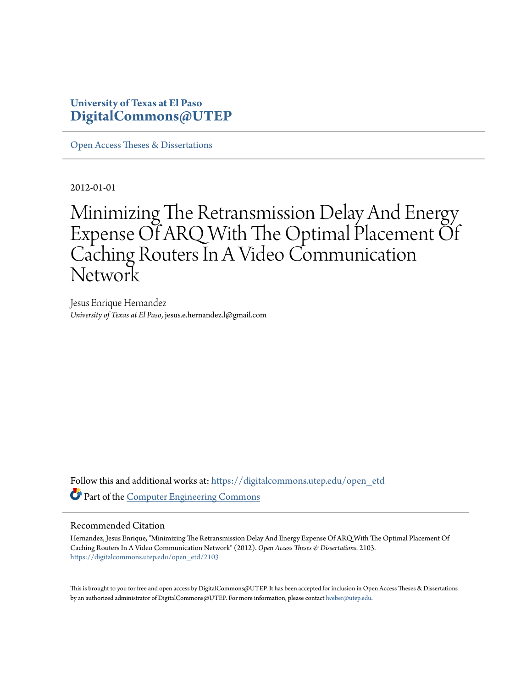# **University of Texas at El Paso [DigitalCommons@UTEP](https://digitalcommons.utep.edu/?utm_source=digitalcommons.utep.edu%2Fopen_etd%2F2103&utm_medium=PDF&utm_campaign=PDFCoverPages)**

[Open Access Theses & Dissertations](https://digitalcommons.utep.edu/open_etd?utm_source=digitalcommons.utep.edu%2Fopen_etd%2F2103&utm_medium=PDF&utm_campaign=PDFCoverPages)

2012-01-01

# Minimizing The Retransmission Delay And Energy Expense Of ARQ With The Optimal Placement Of Caching Routers In A Video Communication Network

Jesus Enrique Hernandez *University of Texas at El Paso*, jesus.e.hernandez.l@gmail.com

Follow this and additional works at: [https://digitalcommons.utep.edu/open\\_etd](https://digitalcommons.utep.edu/open_etd?utm_source=digitalcommons.utep.edu%2Fopen_etd%2F2103&utm_medium=PDF&utm_campaign=PDFCoverPages) Part of the [Computer Engineering Commons](http://network.bepress.com/hgg/discipline/258?utm_source=digitalcommons.utep.edu%2Fopen_etd%2F2103&utm_medium=PDF&utm_campaign=PDFCoverPages)

### Recommended Citation

Hernandez, Jesus Enrique, "Minimizing The Retransmission Delay And Energy Expense Of ARQ With The Optimal Placement Of Caching Routers In A Video Communication Network" (2012). *Open Access Theses & Dissertations*. 2103. [https://digitalcommons.utep.edu/open\\_etd/2103](https://digitalcommons.utep.edu/open_etd/2103?utm_source=digitalcommons.utep.edu%2Fopen_etd%2F2103&utm_medium=PDF&utm_campaign=PDFCoverPages)

This is brought to you for free and open access by DigitalCommons@UTEP. It has been accepted for inclusion in Open Access Theses & Dissertations by an authorized administrator of DigitalCommons@UTEP. For more information, please contact [lweber@utep.edu.](mailto:lweber@utep.edu)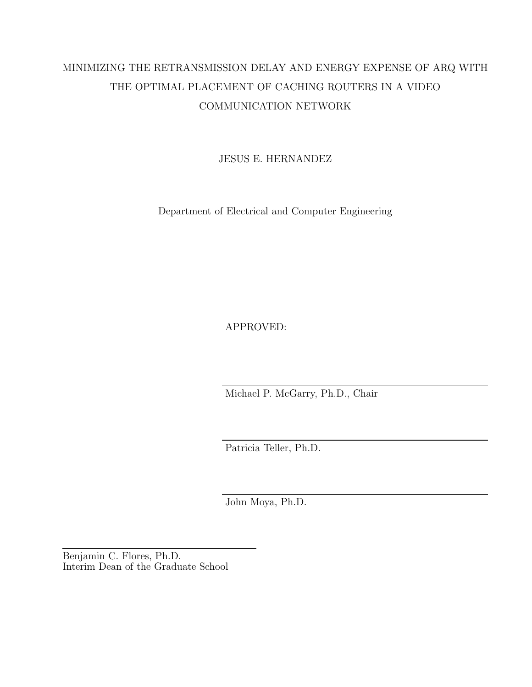# MINIMIZING THE RETRANSMISSION DELAY AND ENERGY EXPENSE OF ARQ WITH THE OPTIMAL PLACEMENT OF CACHING ROUTERS IN A VIDEO COMMUNICATION NETWORK

JESUS E. HERNANDEZ

Department of Electrical and Computer Engineering

APPROVED:

Michael P. McGarry, Ph.D., Chair

Patricia Teller, Ph.D.

John Moya, Ph.D.

Benjamin C. Flores, Ph.D. Interim Dean of the Graduate School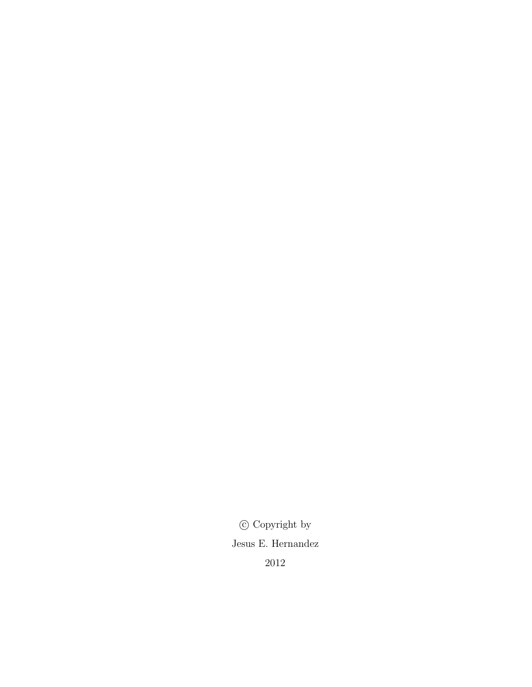$\copyright$  Copyright by Jesus E. Hernandez 2012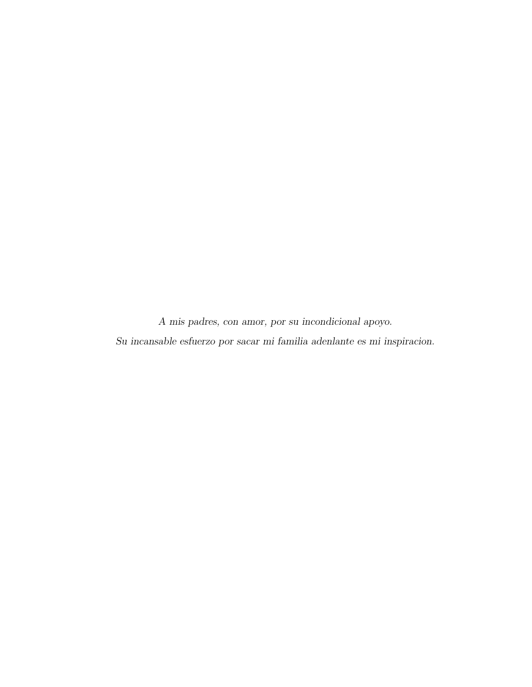A mis padres, con amor, por su incondicional apoyo. Su incansable esfuerzo por sacar mi familia adenlante es mi inspiracion.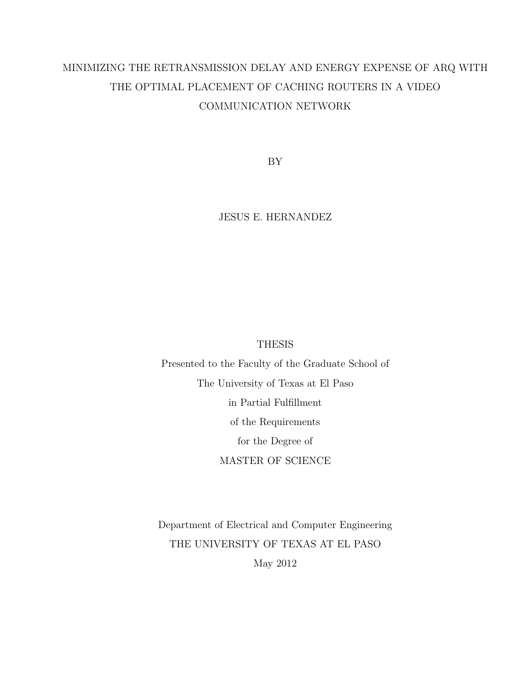# MINIMIZING THE RETRANSMISSION DELAY AND ENERGY EXPENSE OF ARQ WITH THE OPTIMAL PLACEMENT OF CACHING ROUTERS IN A VIDEO COMMUNICATION NETWORK

BY

JESUS E. HERNANDEZ

### **THESIS**

Presented to the Faculty of the Graduate School of The University of Texas at El Paso in Partial Fulfillment of the Requirements for the Degree of MASTER OF SCIENCE

Department of Electrical and Computer Engineering THE UNIVERSITY OF TEXAS AT EL PASO May 2012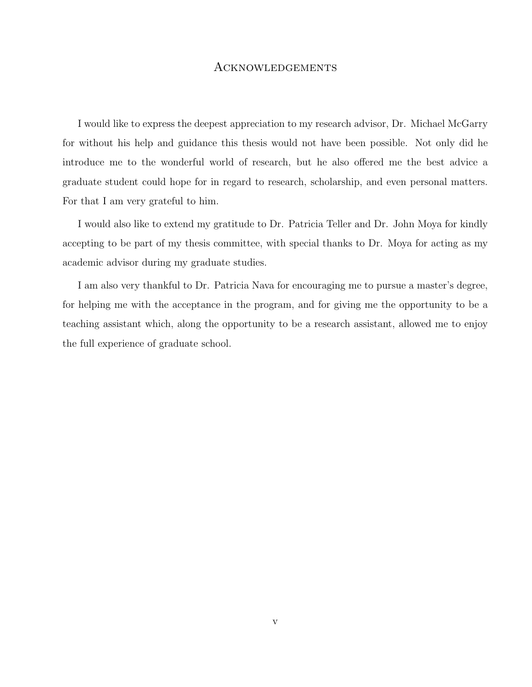### Acknowledgements

I would like to express the deepest appreciation to my research advisor, Dr. Michael McGarry for without his help and guidance this thesis would not have been possible. Not only did he introduce me to the wonderful world of research, but he also offered me the best advice a graduate student could hope for in regard to research, scholarship, and even personal matters. For that I am very grateful to him.

I would also like to extend my gratitude to Dr. Patricia Teller and Dr. John Moya for kindly accepting to be part of my thesis committee, with special thanks to Dr. Moya for acting as my academic advisor during my graduate studies.

I am also very thankful to Dr. Patricia Nava for encouraging me to pursue a master's degree, for helping me with the acceptance in the program, and for giving me the opportunity to be a teaching assistant which, along the opportunity to be a research assistant, allowed me to enjoy the full experience of graduate school.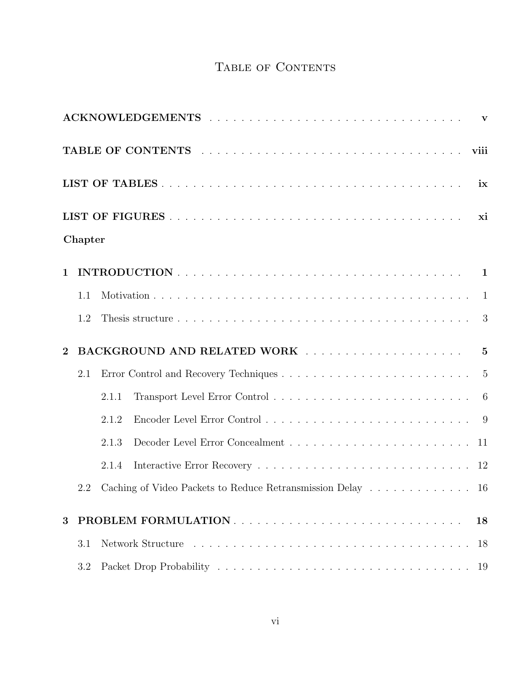# TABLE OF CONTENTS

|                | Chapter |                                                            |    |
|----------------|---------|------------------------------------------------------------|----|
| $\mathbf{1}$   |         |                                                            |    |
|                | 1.1     |                                                            |    |
|                | 1.2     |                                                            |    |
| $\overline{2}$ |         |                                                            |    |
|                | 2.1     |                                                            |    |
|                |         | 2.1.1                                                      |    |
|                |         | 2.1.2                                                      |    |
|                |         | 2.1.3                                                      |    |
|                |         | 2.1.4                                                      |    |
|                | 2.2     | Caching of Video Packets to Reduce Retransmission Delay 16 |    |
| 3              |         |                                                            | 18 |
|                | 3.1     |                                                            | 18 |
|                | 3.2     |                                                            | 19 |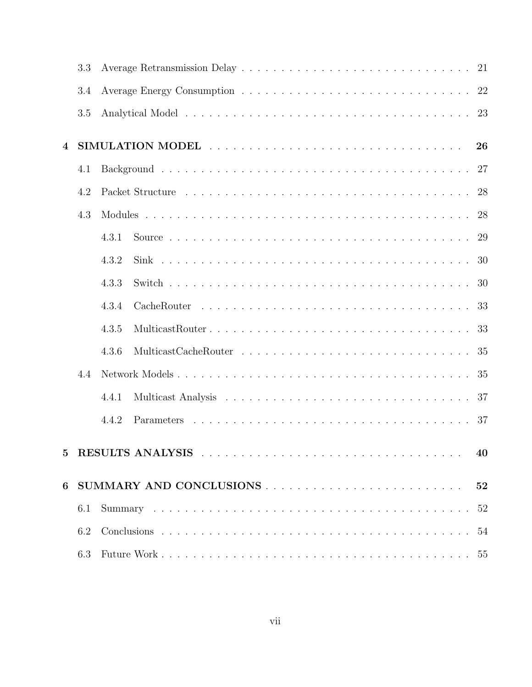| 3.3 |                 |                                                                                                                                                                |
|-----|-----------------|----------------------------------------------------------------------------------------------------------------------------------------------------------------|
| 3.4 |                 |                                                                                                                                                                |
| 3.5 |                 |                                                                                                                                                                |
|     |                 |                                                                                                                                                                |
| 4.1 |                 |                                                                                                                                                                |
| 4.2 |                 |                                                                                                                                                                |
| 4.3 |                 |                                                                                                                                                                |
|     |                 |                                                                                                                                                                |
|     |                 |                                                                                                                                                                |
|     |                 |                                                                                                                                                                |
|     |                 |                                                                                                                                                                |
|     | MulticastRouter |                                                                                                                                                                |
|     |                 |                                                                                                                                                                |
| 4.4 |                 |                                                                                                                                                                |
|     |                 |                                                                                                                                                                |
|     |                 |                                                                                                                                                                |
|     |                 |                                                                                                                                                                |
|     |                 |                                                                                                                                                                |
| 6.1 |                 |                                                                                                                                                                |
| 6.2 |                 |                                                                                                                                                                |
| 6.3 |                 |                                                                                                                                                                |
|     |                 | 26<br>27<br>28<br>28<br>29<br>4.3.1<br>4.3.2<br>30<br>30<br>4.3.3<br>33<br>4.3.4<br>33<br>4.3.5<br>4.3.6<br>35<br>37<br>4.4.1<br>4.4.2<br>40<br>52<br>52<br>54 |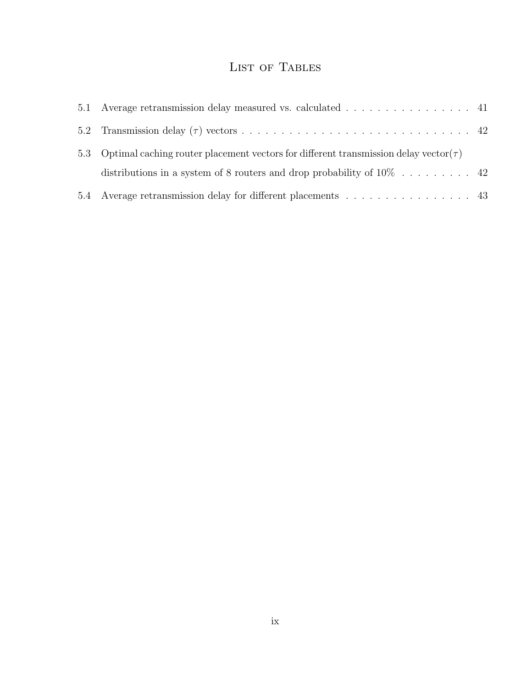# LIST OF TABLES

| 5.1 Average retransmission delay measured vs. calculated 41                                    |  |
|------------------------------------------------------------------------------------------------|--|
|                                                                                                |  |
| 5.3 Optimal caching router placement vectors for different transmission delay vector( $\tau$ ) |  |
|                                                                                                |  |
| 5.4 Average retransmission delay for different placements 43                                   |  |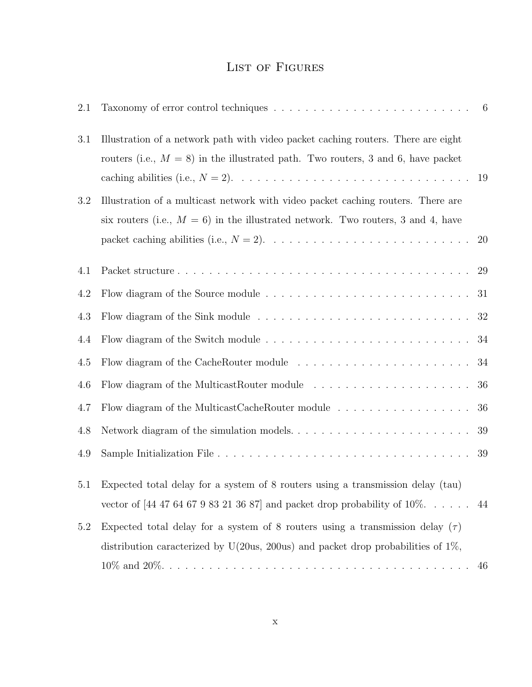# List of Figures

| 2.1 |                                                                                                                                                                          | $6\overline{6}$ |
|-----|--------------------------------------------------------------------------------------------------------------------------------------------------------------------------|-----------------|
| 3.1 | Illustration of a network path with video packet caching routers. There are eight<br>routers (i.e., $M = 8$ ) in the illustrated path. Two routers, 3 and 6, have packet |                 |
| 3.2 | Illustration of a multicast network with video packet caching routers. There are                                                                                         |                 |
|     | six routers (i.e., $M = 6$ ) in the illustrated network. Two routers, 3 and 4, have                                                                                      |                 |
|     |                                                                                                                                                                          | <b>20</b>       |
| 4.1 |                                                                                                                                                                          | 29              |
| 4.2 | Flow diagram of the Source module $\dots \dots \dots \dots \dots \dots \dots \dots \dots \dots \dots$                                                                    | 31              |
| 4.3 |                                                                                                                                                                          | 32              |
| 4.4 |                                                                                                                                                                          | 34              |
| 4.5 |                                                                                                                                                                          | 34              |
| 4.6 | Flow diagram of the MulticastRouter module $\dots \dots \dots \dots \dots \dots \dots$                                                                                   | 36              |
| 4.7 |                                                                                                                                                                          | 36              |
| 4.8 | Network diagram of the simulation models. $\dots \dots \dots \dots \dots \dots \dots \dots \dots$                                                                        | 39              |
| 4.9 |                                                                                                                                                                          | 39              |
| 5.1 | Expected total delay for a system of 8 routers using a transmission delay (tau)                                                                                          |                 |
|     | vector of [44 47 64 67 9 83 21 36 87] and packet drop probability of $10\%$ .                                                                                            | 44              |
| 5.2 | Expected total delay for a system of 8 routers using a transmission delay $(\tau)$                                                                                       |                 |
|     | distribution caracterized by U(20us, 200us) and packet drop probabilities of $1\%$ ,                                                                                     |                 |
|     |                                                                                                                                                                          | 46              |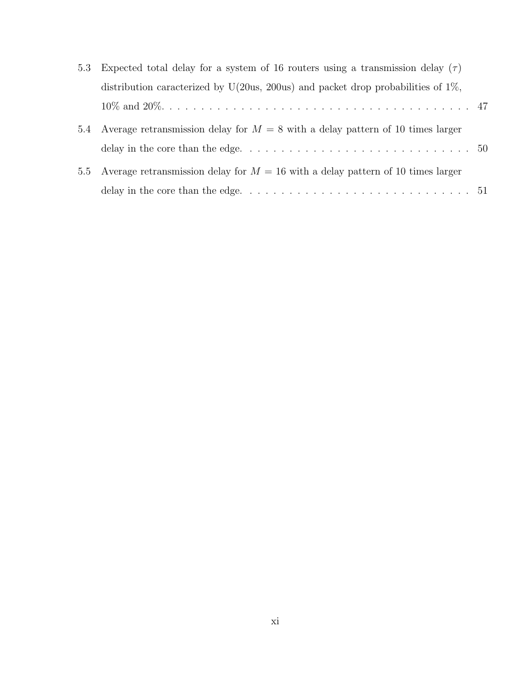|               | 5.3 Expected total delay for a system of 16 routers using a transmission delay $(\tau)$ |  |  |  |
|---------------|-----------------------------------------------------------------------------------------|--|--|--|
|               | distribution caracterized by U(20us, 200us) and packet drop probabilities of $1\%$ ,    |  |  |  |
|               |                                                                                         |  |  |  |
|               | 5.4 Average retransmission delay for $M = 8$ with a delay pattern of 10 times larger    |  |  |  |
|               |                                                                                         |  |  |  |
| $5.5^{\circ}$ | Average retransmission delay for $M = 16$ with a delay pattern of 10 times larger       |  |  |  |
|               |                                                                                         |  |  |  |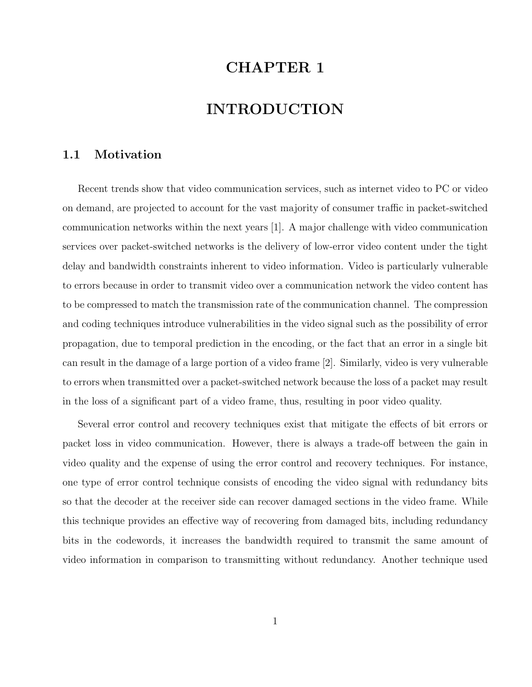# CHAPTER 1

# INTRODUCTION

# 1.1 Motivation

Recent trends show that video communication services, such as internet video to PC or video on demand, are projected to account for the vast majority of consumer traffic in packet-switched communication networks within the next years [1]. A major challenge with video communication services over packet-switched networks is the delivery of low-error video content under the tight delay and bandwidth constraints inherent to video information. Video is particularly vulnerable to errors because in order to transmit video over a communication network the video content has to be compressed to match the transmission rate of the communication channel. The compression and coding techniques introduce vulnerabilities in the video signal such as the possibility of error propagation, due to temporal prediction in the encoding, or the fact that an error in a single bit can result in the damage of a large portion of a video frame [2]. Similarly, video is very vulnerable to errors when transmitted over a packet-switched network because the loss of a packet may result in the loss of a significant part of a video frame, thus, resulting in poor video quality.

Several error control and recovery techniques exist that mitigate the effects of bit errors or packet loss in video communication. However, there is always a trade-off between the gain in video quality and the expense of using the error control and recovery techniques. For instance, one type of error control technique consists of encoding the video signal with redundancy bits so that the decoder at the receiver side can recover damaged sections in the video frame. While this technique provides an effective way of recovering from damaged bits, including redundancy bits in the codewords, it increases the bandwidth required to transmit the same amount of video information in comparison to transmitting without redundancy. Another technique used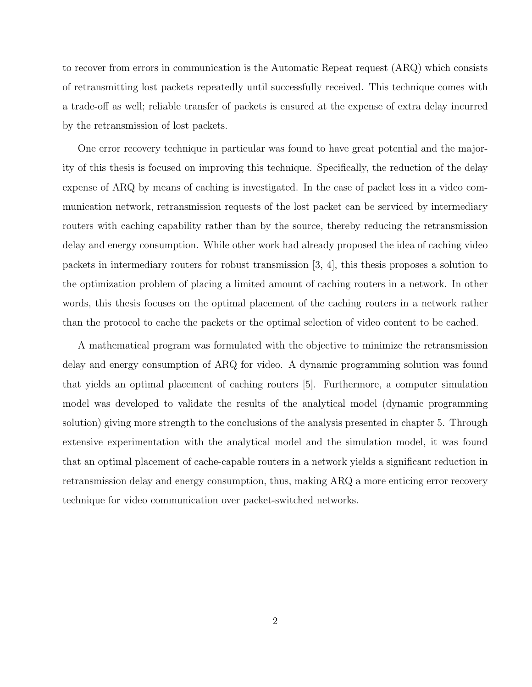to recover from errors in communication is the Automatic Repeat request (ARQ) which consists of retransmitting lost packets repeatedly until successfully received. This technique comes with a trade-off as well; reliable transfer of packets is ensured at the expense of extra delay incurred by the retransmission of lost packets.

One error recovery technique in particular was found to have great potential and the majority of this thesis is focused on improving this technique. Specifically, the reduction of the delay expense of ARQ by means of caching is investigated. In the case of packet loss in a video communication network, retransmission requests of the lost packet can be serviced by intermediary routers with caching capability rather than by the source, thereby reducing the retransmission delay and energy consumption. While other work had already proposed the idea of caching video packets in intermediary routers for robust transmission [3, 4], this thesis proposes a solution to the optimization problem of placing a limited amount of caching routers in a network. In other words, this thesis focuses on the optimal placement of the caching routers in a network rather than the protocol to cache the packets or the optimal selection of video content to be cached.

A mathematical program was formulated with the objective to minimize the retransmission delay and energy consumption of ARQ for video. A dynamic programming solution was found that yields an optimal placement of caching routers [5]. Furthermore, a computer simulation model was developed to validate the results of the analytical model (dynamic programming solution) giving more strength to the conclusions of the analysis presented in chapter 5. Through extensive experimentation with the analytical model and the simulation model, it was found that an optimal placement of cache-capable routers in a network yields a significant reduction in retransmission delay and energy consumption, thus, making ARQ a more enticing error recovery technique for video communication over packet-switched networks.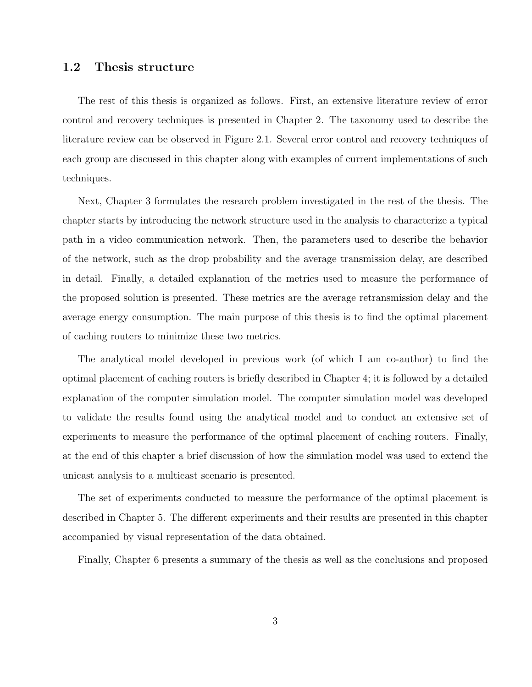### 1.2 Thesis structure

The rest of this thesis is organized as follows. First, an extensive literature review of error control and recovery techniques is presented in Chapter 2. The taxonomy used to describe the literature review can be observed in Figure 2.1. Several error control and recovery techniques of each group are discussed in this chapter along with examples of current implementations of such techniques.

Next, Chapter 3 formulates the research problem investigated in the rest of the thesis. The chapter starts by introducing the network structure used in the analysis to characterize a typical path in a video communication network. Then, the parameters used to describe the behavior of the network, such as the drop probability and the average transmission delay, are described in detail. Finally, a detailed explanation of the metrics used to measure the performance of the proposed solution is presented. These metrics are the average retransmission delay and the average energy consumption. The main purpose of this thesis is to find the optimal placement of caching routers to minimize these two metrics.

The analytical model developed in previous work (of which I am co-author) to find the optimal placement of caching routers is briefly described in Chapter 4; it is followed by a detailed explanation of the computer simulation model. The computer simulation model was developed to validate the results found using the analytical model and to conduct an extensive set of experiments to measure the performance of the optimal placement of caching routers. Finally, at the end of this chapter a brief discussion of how the simulation model was used to extend the unicast analysis to a multicast scenario is presented.

The set of experiments conducted to measure the performance of the optimal placement is described in Chapter 5. The different experiments and their results are presented in this chapter accompanied by visual representation of the data obtained.

Finally, Chapter 6 presents a summary of the thesis as well as the conclusions and proposed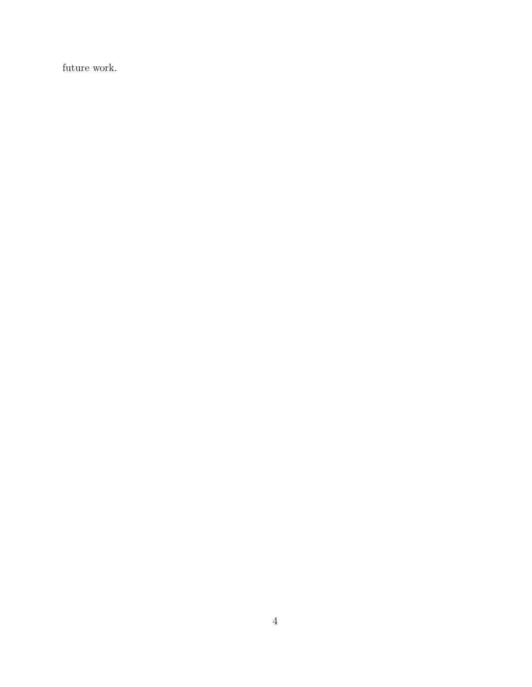future work.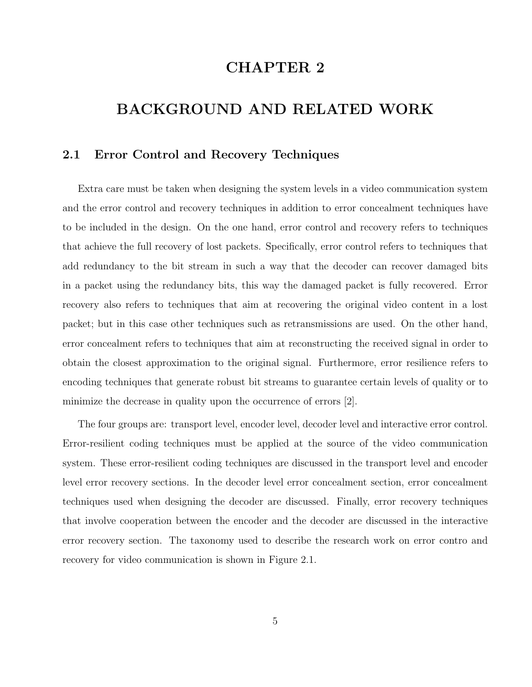# CHAPTER 2

# BACKGROUND AND RELATED WORK

### 2.1 Error Control and Recovery Techniques

Extra care must be taken when designing the system levels in a video communication system and the error control and recovery techniques in addition to error concealment techniques have to be included in the design. On the one hand, error control and recovery refers to techniques that achieve the full recovery of lost packets. Specifically, error control refers to techniques that add redundancy to the bit stream in such a way that the decoder can recover damaged bits in a packet using the redundancy bits, this way the damaged packet is fully recovered. Error recovery also refers to techniques that aim at recovering the original video content in a lost packet; but in this case other techniques such as retransmissions are used. On the other hand, error concealment refers to techniques that aim at reconstructing the received signal in order to obtain the closest approximation to the original signal. Furthermore, error resilience refers to encoding techniques that generate robust bit streams to guarantee certain levels of quality or to minimize the decrease in quality upon the occurrence of errors [2].

The four groups are: transport level, encoder level, decoder level and interactive error control. Error-resilient coding techniques must be applied at the source of the video communication system. These error-resilient coding techniques are discussed in the transport level and encoder level error recovery sections. In the decoder level error concealment section, error concealment techniques used when designing the decoder are discussed. Finally, error recovery techniques that involve cooperation between the encoder and the decoder are discussed in the interactive error recovery section. The taxonomy used to describe the research work on error contro and recovery for video communication is shown in Figure 2.1.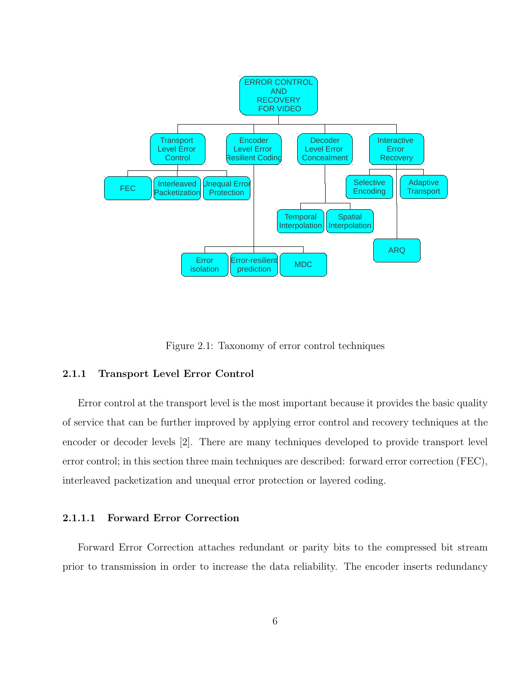

Figure 2.1: Taxonomy of error control techniques

#### 2.1.1 Transport Level Error Control

Error control at the transport level is the most important because it provides the basic quality of service that can be further improved by applying error control and recovery techniques at the encoder or decoder levels [2]. There are many techniques developed to provide transport level error control; in this section three main techniques are described: forward error correction (FEC), interleaved packetization and unequal error protection or layered coding.

#### 2.1.1.1 Forward Error Correction

Forward Error Correction attaches redundant or parity bits to the compressed bit stream prior to transmission in order to increase the data reliability. The encoder inserts redundancy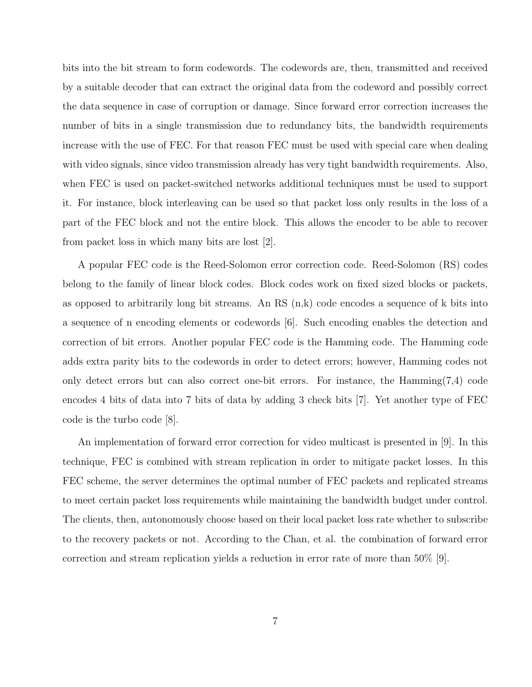bits into the bit stream to form codewords. The codewords are, then, transmitted and received by a suitable decoder that can extract the original data from the codeword and possibly correct the data sequence in case of corruption or damage. Since forward error correction increases the number of bits in a single transmission due to redundancy bits, the bandwidth requirements increase with the use of FEC. For that reason FEC must be used with special care when dealing with video signals, since video transmission already has very tight bandwidth requirements. Also, when FEC is used on packet-switched networks additional techniques must be used to support it. For instance, block interleaving can be used so that packet loss only results in the loss of a part of the FEC block and not the entire block. This allows the encoder to be able to recover from packet loss in which many bits are lost [2].

A popular FEC code is the Reed-Solomon error correction code. Reed-Solomon (RS) codes belong to the family of linear block codes. Block codes work on fixed sized blocks or packets, as opposed to arbitrarily long bit streams. An RS  $(n, k)$  code encodes a sequence of k bits into a sequence of n encoding elements or codewords [6]. Such encoding enables the detection and correction of bit errors. Another popular FEC code is the Hamming code. The Hamming code adds extra parity bits to the codewords in order to detect errors; however, Hamming codes not only detect errors but can also correct one-bit errors. For instance, the Hamming(7,4) code encodes 4 bits of data into 7 bits of data by adding 3 check bits [7]. Yet another type of FEC code is the turbo code [8].

An implementation of forward error correction for video multicast is presented in [9]. In this technique, FEC is combined with stream replication in order to mitigate packet losses. In this FEC scheme, the server determines the optimal number of FEC packets and replicated streams to meet certain packet loss requirements while maintaining the bandwidth budget under control. The clients, then, autonomously choose based on their local packet loss rate whether to subscribe to the recovery packets or not. According to the Chan, et al. the combination of forward error correction and stream replication yields a reduction in error rate of more than 50% [9].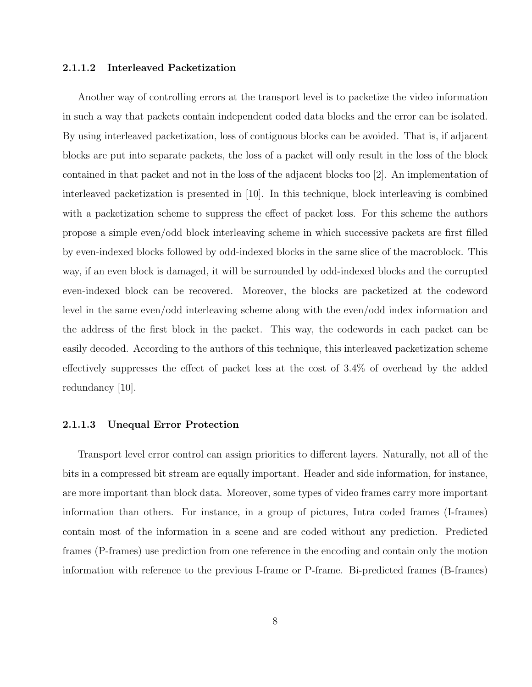#### 2.1.1.2 Interleaved Packetization

Another way of controlling errors at the transport level is to packetize the video information in such a way that packets contain independent coded data blocks and the error can be isolated. By using interleaved packetization, loss of contiguous blocks can be avoided. That is, if adjacent blocks are put into separate packets, the loss of a packet will only result in the loss of the block contained in that packet and not in the loss of the adjacent blocks too [2]. An implementation of interleaved packetization is presented in [10]. In this technique, block interleaving is combined with a packetization scheme to suppress the effect of packet loss. For this scheme the authors propose a simple even/odd block interleaving scheme in which successive packets are first filled by even-indexed blocks followed by odd-indexed blocks in the same slice of the macroblock. This way, if an even block is damaged, it will be surrounded by odd-indexed blocks and the corrupted even-indexed block can be recovered. Moreover, the blocks are packetized at the codeword level in the same even/odd interleaving scheme along with the even/odd index information and the address of the first block in the packet. This way, the codewords in each packet can be easily decoded. According to the authors of this technique, this interleaved packetization scheme effectively suppresses the effect of packet loss at the cost of 3.4% of overhead by the added redundancy [10].

#### 2.1.1.3 Unequal Error Protection

Transport level error control can assign priorities to different layers. Naturally, not all of the bits in a compressed bit stream are equally important. Header and side information, for instance, are more important than block data. Moreover, some types of video frames carry more important information than others. For instance, in a group of pictures, Intra coded frames (I-frames) contain most of the information in a scene and are coded without any prediction. Predicted frames (P-frames) use prediction from one reference in the encoding and contain only the motion information with reference to the previous I-frame or P-frame. Bi-predicted frames (B-frames)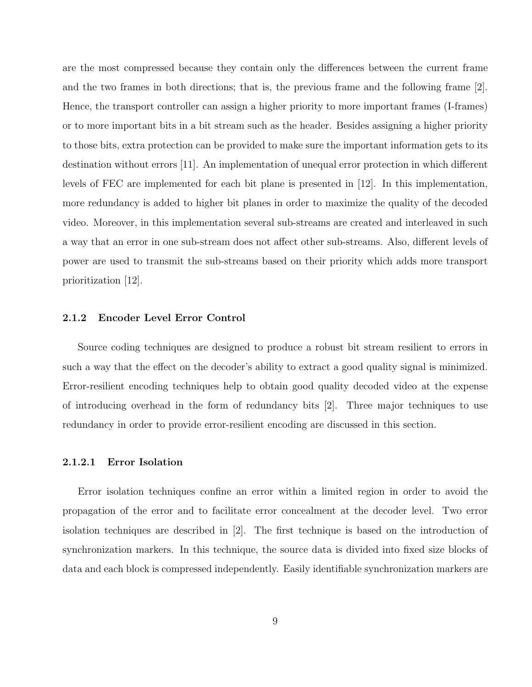are the most compressed because they contain only the differences between the current frame and the two frames in both directions; that is, the previous frame and the following frame [2]. Hence, the transport controller can assign a higher priority to more important frames (I-frames) or to more important bits in a bit stream such as the header. Besides assigning a higher priority to those bits, extra protection can be provided to make sure the important information gets to its destination without errors [11]. An implementation of unequal error protection in which different levels of FEC are implemented for each bit plane is presented in [12]. In this implementation, more redundancy is added to higher bit planes in order to maximize the quality of the decoded video. Moreover, in this implementation several sub-streams are created and interleaved in such a way that an error in one sub-stream does not affect other sub-streams. Also, different levels of power are used to transmit the sub-streams based on their priority which adds more transport prioritization [12].

#### 2.1.2 Encoder Level Error Control

Source coding techniques are designed to produce a robust bit stream resilient to errors in such a way that the effect on the decoder's ability to extract a good quality signal is minimized. Error-resilient encoding techniques help to obtain good quality decoded video at the expense of introducing overhead in the form of redundancy bits [2]. Three major techniques to use redundancy in order to provide error-resilient encoding are discussed in this section.

#### 2.1.2.1 Error Isolation

Error isolation techniques confine an error within a limited region in order to avoid the propagation of the error and to facilitate error concealment at the decoder level. Two error isolation techniques are described in [2]. The first technique is based on the introduction of synchronization markers. In this technique, the source data is divided into fixed size blocks of data and each block is compressed independently. Easily identifiable synchronization markers are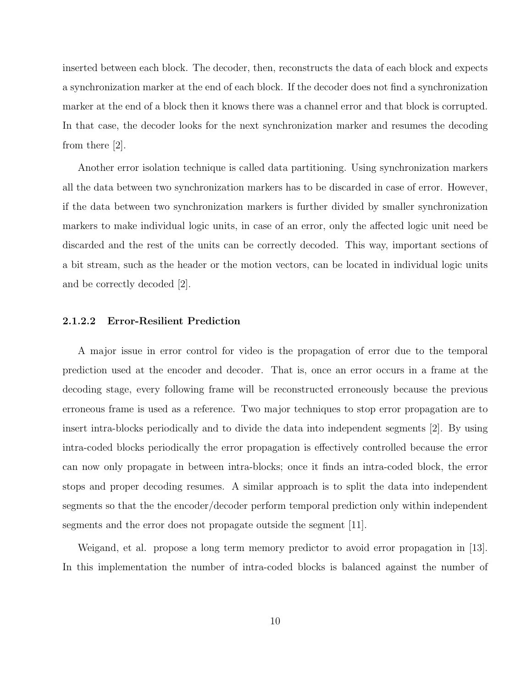inserted between each block. The decoder, then, reconstructs the data of each block and expects a synchronization marker at the end of each block. If the decoder does not find a synchronization marker at the end of a block then it knows there was a channel error and that block is corrupted. In that case, the decoder looks for the next synchronization marker and resumes the decoding from there [2].

Another error isolation technique is called data partitioning. Using synchronization markers all the data between two synchronization markers has to be discarded in case of error. However, if the data between two synchronization markers is further divided by smaller synchronization markers to make individual logic units, in case of an error, only the affected logic unit need be discarded and the rest of the units can be correctly decoded. This way, important sections of a bit stream, such as the header or the motion vectors, can be located in individual logic units and be correctly decoded [2].

### 2.1.2.2 Error-Resilient Prediction

A major issue in error control for video is the propagation of error due to the temporal prediction used at the encoder and decoder. That is, once an error occurs in a frame at the decoding stage, every following frame will be reconstructed erroneously because the previous erroneous frame is used as a reference. Two major techniques to stop error propagation are to insert intra-blocks periodically and to divide the data into independent segments [2]. By using intra-coded blocks periodically the error propagation is effectively controlled because the error can now only propagate in between intra-blocks; once it finds an intra-coded block, the error stops and proper decoding resumes. A similar approach is to split the data into independent segments so that the the encoder/decoder perform temporal prediction only within independent segments and the error does not propagate outside the segment  $|11|$ .

Weigand, et al. propose a long term memory predictor to avoid error propagation in [13]. In this implementation the number of intra-coded blocks is balanced against the number of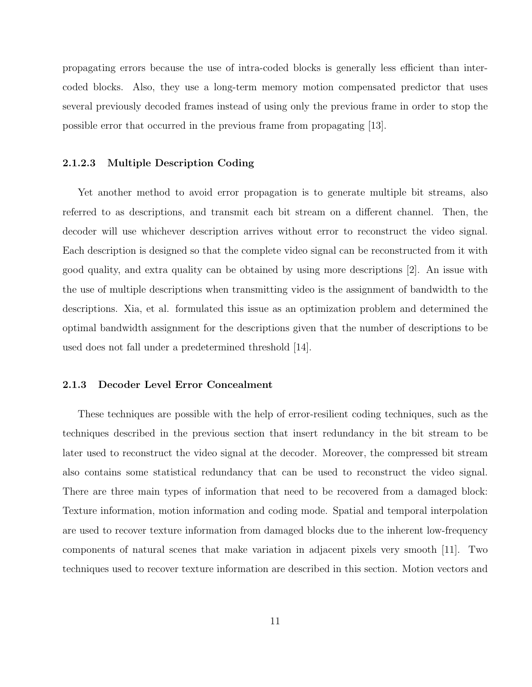propagating errors because the use of intra-coded blocks is generally less efficient than intercoded blocks. Also, they use a long-term memory motion compensated predictor that uses several previously decoded frames instead of using only the previous frame in order to stop the possible error that occurred in the previous frame from propagating [13].

#### 2.1.2.3 Multiple Description Coding

Yet another method to avoid error propagation is to generate multiple bit streams, also referred to as descriptions, and transmit each bit stream on a different channel. Then, the decoder will use whichever description arrives without error to reconstruct the video signal. Each description is designed so that the complete video signal can be reconstructed from it with good quality, and extra quality can be obtained by using more descriptions [2]. An issue with the use of multiple descriptions when transmitting video is the assignment of bandwidth to the descriptions. Xia, et al. formulated this issue as an optimization problem and determined the optimal bandwidth assignment for the descriptions given that the number of descriptions to be used does not fall under a predetermined threshold [14].

#### 2.1.3 Decoder Level Error Concealment

These techniques are possible with the help of error-resilient coding techniques, such as the techniques described in the previous section that insert redundancy in the bit stream to be later used to reconstruct the video signal at the decoder. Moreover, the compressed bit stream also contains some statistical redundancy that can be used to reconstruct the video signal. There are three main types of information that need to be recovered from a damaged block: Texture information, motion information and coding mode. Spatial and temporal interpolation are used to recover texture information from damaged blocks due to the inherent low-frequency components of natural scenes that make variation in adjacent pixels very smooth [11]. Two techniques used to recover texture information are described in this section. Motion vectors and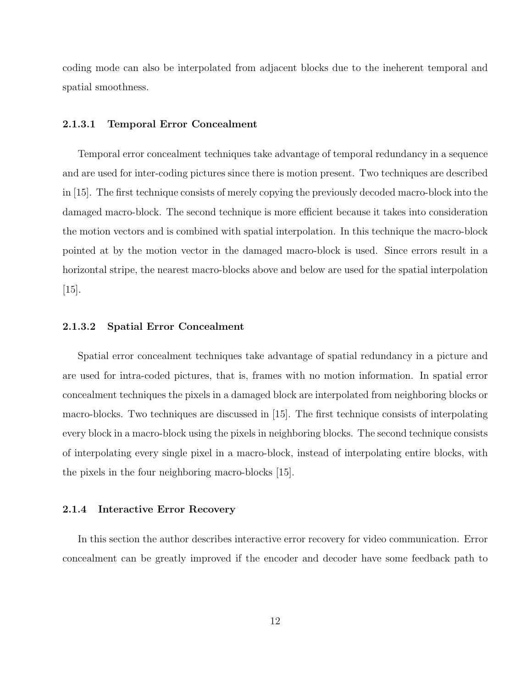coding mode can also be interpolated from adjacent blocks due to the ineherent temporal and spatial smoothness.

### 2.1.3.1 Temporal Error Concealment

Temporal error concealment techniques take advantage of temporal redundancy in a sequence and are used for inter-coding pictures since there is motion present. Two techniques are described in [15]. The first technique consists of merely copying the previously decoded macro-block into the damaged macro-block. The second technique is more efficient because it takes into consideration the motion vectors and is combined with spatial interpolation. In this technique the macro-block pointed at by the motion vector in the damaged macro-block is used. Since errors result in a horizontal stripe, the nearest macro-blocks above and below are used for the spatial interpolation  $|15|$ .

### 2.1.3.2 Spatial Error Concealment

Spatial error concealment techniques take advantage of spatial redundancy in a picture and are used for intra-coded pictures, that is, frames with no motion information. In spatial error concealment techniques the pixels in a damaged block are interpolated from neighboring blocks or macro-blocks. Two techniques are discussed in [15]. The first technique consists of interpolating every block in a macro-block using the pixels in neighboring blocks. The second technique consists of interpolating every single pixel in a macro-block, instead of interpolating entire blocks, with the pixels in the four neighboring macro-blocks [15].

#### 2.1.4 Interactive Error Recovery

In this section the author describes interactive error recovery for video communication. Error concealment can be greatly improved if the encoder and decoder have some feedback path to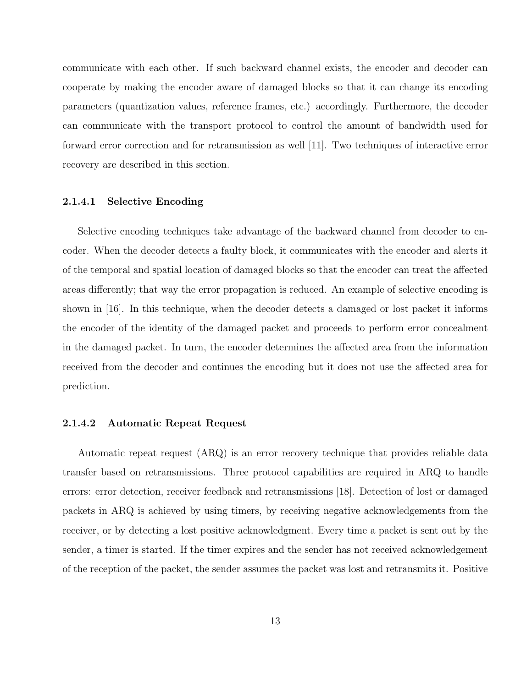communicate with each other. If such backward channel exists, the encoder and decoder can cooperate by making the encoder aware of damaged blocks so that it can change its encoding parameters (quantization values, reference frames, etc.) accordingly. Furthermore, the decoder can communicate with the transport protocol to control the amount of bandwidth used for forward error correction and for retransmission as well [11]. Two techniques of interactive error recovery are described in this section.

#### 2.1.4.1 Selective Encoding

Selective encoding techniques take advantage of the backward channel from decoder to encoder. When the decoder detects a faulty block, it communicates with the encoder and alerts it of the temporal and spatial location of damaged blocks so that the encoder can treat the affected areas differently; that way the error propagation is reduced. An example of selective encoding is shown in [16]. In this technique, when the decoder detects a damaged or lost packet it informs the encoder of the identity of the damaged packet and proceeds to perform error concealment in the damaged packet. In turn, the encoder determines the affected area from the information received from the decoder and continues the encoding but it does not use the affected area for prediction.

#### 2.1.4.2 Automatic Repeat Request

Automatic repeat request (ARQ) is an error recovery technique that provides reliable data transfer based on retransmissions. Three protocol capabilities are required in ARQ to handle errors: error detection, receiver feedback and retransmissions [18]. Detection of lost or damaged packets in ARQ is achieved by using timers, by receiving negative acknowledgements from the receiver, or by detecting a lost positive acknowledgment. Every time a packet is sent out by the sender, a timer is started. If the timer expires and the sender has not received acknowledgement of the reception of the packet, the sender assumes the packet was lost and retransmits it. Positive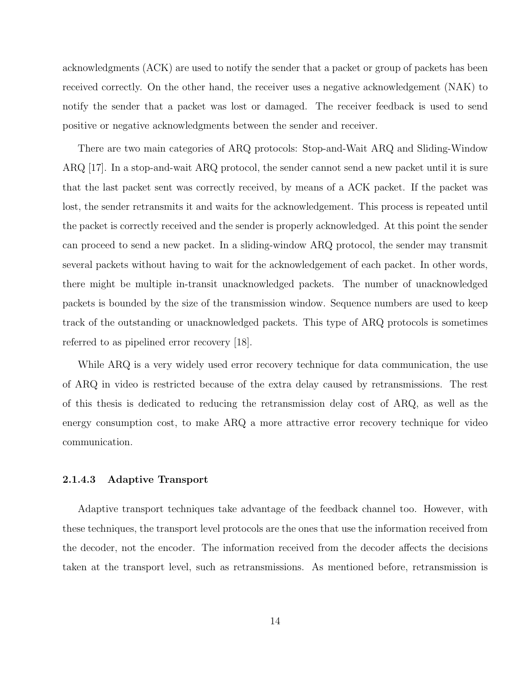acknowledgments (ACK) are used to notify the sender that a packet or group of packets has been received correctly. On the other hand, the receiver uses a negative acknowledgement (NAK) to notify the sender that a packet was lost or damaged. The receiver feedback is used to send positive or negative acknowledgments between the sender and receiver.

There are two main categories of ARQ protocols: Stop-and-Wait ARQ and Sliding-Window ARQ [17]. In a stop-and-wait ARQ protocol, the sender cannot send a new packet until it is sure that the last packet sent was correctly received, by means of a ACK packet. If the packet was lost, the sender retransmits it and waits for the acknowledgement. This process is repeated until the packet is correctly received and the sender is properly acknowledged. At this point the sender can proceed to send a new packet. In a sliding-window ARQ protocol, the sender may transmit several packets without having to wait for the acknowledgement of each packet. In other words, there might be multiple in-transit unacknowledged packets. The number of unacknowledged packets is bounded by the size of the transmission window. Sequence numbers are used to keep track of the outstanding or unacknowledged packets. This type of ARQ protocols is sometimes referred to as pipelined error recovery [18].

While ARQ is a very widely used error recovery technique for data communication, the use of ARQ in video is restricted because of the extra delay caused by retransmissions. The rest of this thesis is dedicated to reducing the retransmission delay cost of ARQ, as well as the energy consumption cost, to make ARQ a more attractive error recovery technique for video communication.

#### 2.1.4.3 Adaptive Transport

Adaptive transport techniques take advantage of the feedback channel too. However, with these techniques, the transport level protocols are the ones that use the information received from the decoder, not the encoder. The information received from the decoder affects the decisions taken at the transport level, such as retransmissions. As mentioned before, retransmission is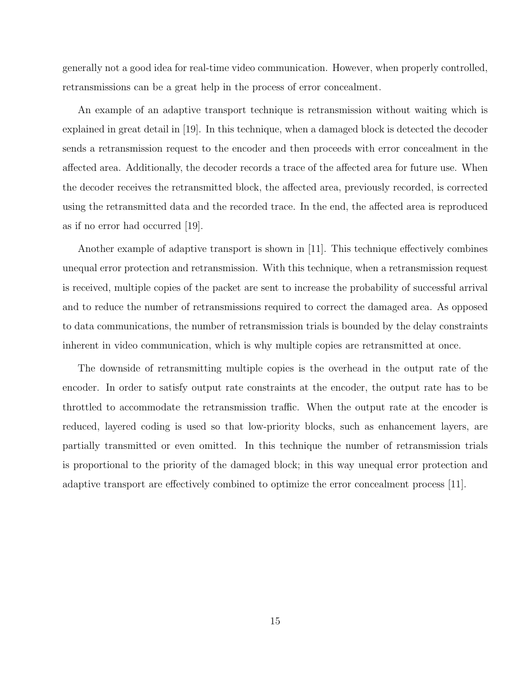generally not a good idea for real-time video communication. However, when properly controlled, retransmissions can be a great help in the process of error concealment.

An example of an adaptive transport technique is retransmission without waiting which is explained in great detail in [19]. In this technique, when a damaged block is detected the decoder sends a retransmission request to the encoder and then proceeds with error concealment in the affected area. Additionally, the decoder records a trace of the affected area for future use. When the decoder receives the retransmitted block, the affected area, previously recorded, is corrected using the retransmitted data and the recorded trace. In the end, the affected area is reproduced as if no error had occurred [19].

Another example of adaptive transport is shown in [11]. This technique effectively combines unequal error protection and retransmission. With this technique, when a retransmission request is received, multiple copies of the packet are sent to increase the probability of successful arrival and to reduce the number of retransmissions required to correct the damaged area. As opposed to data communications, the number of retransmission trials is bounded by the delay constraints inherent in video communication, which is why multiple copies are retransmitted at once.

The downside of retransmitting multiple copies is the overhead in the output rate of the encoder. In order to satisfy output rate constraints at the encoder, the output rate has to be throttled to accommodate the retransmission traffic. When the output rate at the encoder is reduced, layered coding is used so that low-priority blocks, such as enhancement layers, are partially transmitted or even omitted. In this technique the number of retransmission trials is proportional to the priority of the damaged block; in this way unequal error protection and adaptive transport are effectively combined to optimize the error concealment process [11].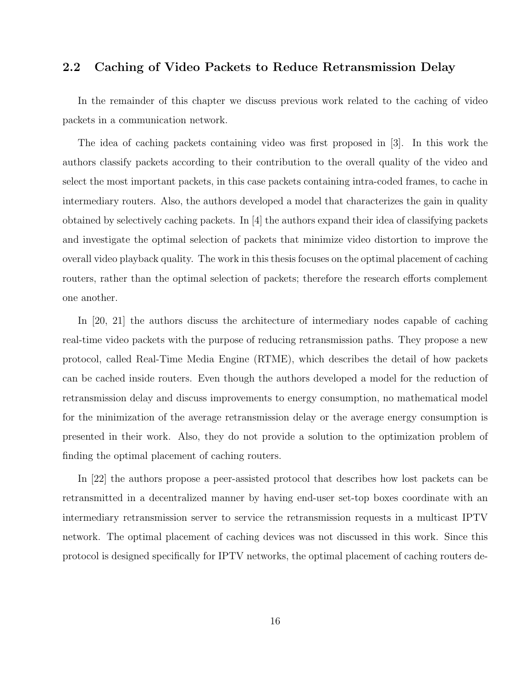### 2.2 Caching of Video Packets to Reduce Retransmission Delay

In the remainder of this chapter we discuss previous work related to the caching of video packets in a communication network.

The idea of caching packets containing video was first proposed in [3]. In this work the authors classify packets according to their contribution to the overall quality of the video and select the most important packets, in this case packets containing intra-coded frames, to cache in intermediary routers. Also, the authors developed a model that characterizes the gain in quality obtained by selectively caching packets. In [4] the authors expand their idea of classifying packets and investigate the optimal selection of packets that minimize video distortion to improve the overall video playback quality. The work in this thesis focuses on the optimal placement of caching routers, rather than the optimal selection of packets; therefore the research efforts complement one another.

In [20, 21] the authors discuss the architecture of intermediary nodes capable of caching real-time video packets with the purpose of reducing retransmission paths. They propose a new protocol, called Real-Time Media Engine (RTME), which describes the detail of how packets can be cached inside routers. Even though the authors developed a model for the reduction of retransmission delay and discuss improvements to energy consumption, no mathematical model for the minimization of the average retransmission delay or the average energy consumption is presented in their work. Also, they do not provide a solution to the optimization problem of finding the optimal placement of caching routers.

In [22] the authors propose a peer-assisted protocol that describes how lost packets can be retransmitted in a decentralized manner by having end-user set-top boxes coordinate with an intermediary retransmission server to service the retransmission requests in a multicast IPTV network. The optimal placement of caching devices was not discussed in this work. Since this protocol is designed specifically for IPTV networks, the optimal placement of caching routers de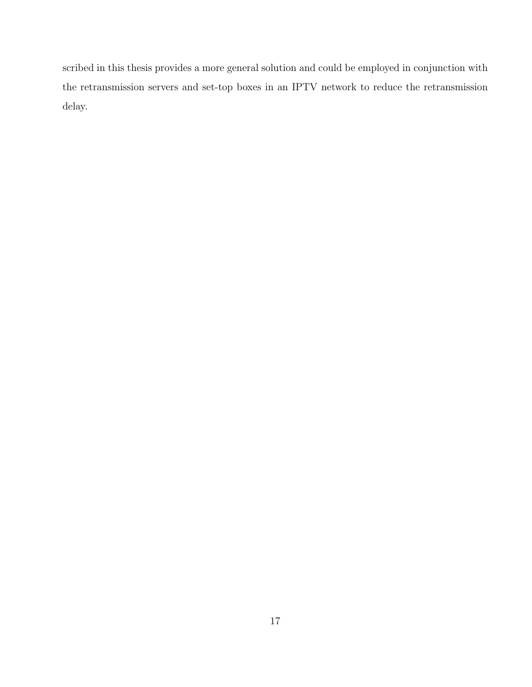scribed in this thesis provides a more general solution and could be employed in conjunction with the retransmission servers and set-top boxes in an IPTV network to reduce the retransmission delay.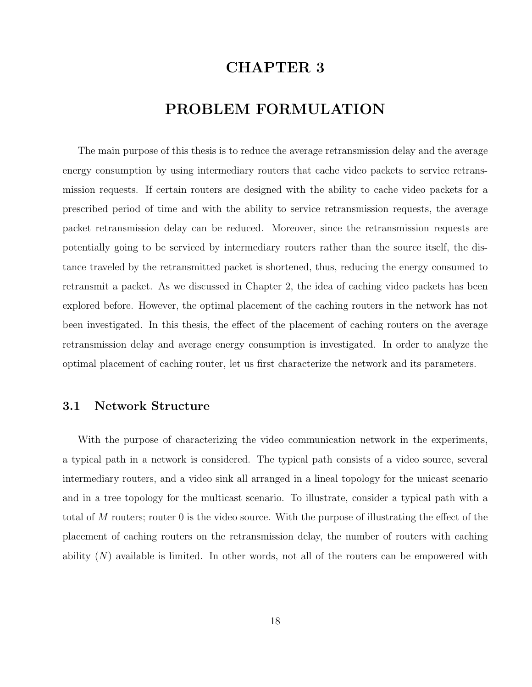# CHAPTER 3

# PROBLEM FORMULATION

The main purpose of this thesis is to reduce the average retransmission delay and the average energy consumption by using intermediary routers that cache video packets to service retransmission requests. If certain routers are designed with the ability to cache video packets for a prescribed period of time and with the ability to service retransmission requests, the average packet retransmission delay can be reduced. Moreover, since the retransmission requests are potentially going to be serviced by intermediary routers rather than the source itself, the distance traveled by the retransmitted packet is shortened, thus, reducing the energy consumed to retransmit a packet. As we discussed in Chapter 2, the idea of caching video packets has been explored before. However, the optimal placement of the caching routers in the network has not been investigated. In this thesis, the effect of the placement of caching routers on the average retransmission delay and average energy consumption is investigated. In order to analyze the optimal placement of caching router, let us first characterize the network and its parameters.

### 3.1 Network Structure

With the purpose of characterizing the video communication network in the experiments, a typical path in a network is considered. The typical path consists of a video source, several intermediary routers, and a video sink all arranged in a lineal topology for the unicast scenario and in a tree topology for the multicast scenario. To illustrate, consider a typical path with a total of M routers; router 0 is the video source. With the purpose of illustrating the effect of the placement of caching routers on the retransmission delay, the number of routers with caching ability  $(N)$  available is limited. In other words, not all of the routers can be empowered with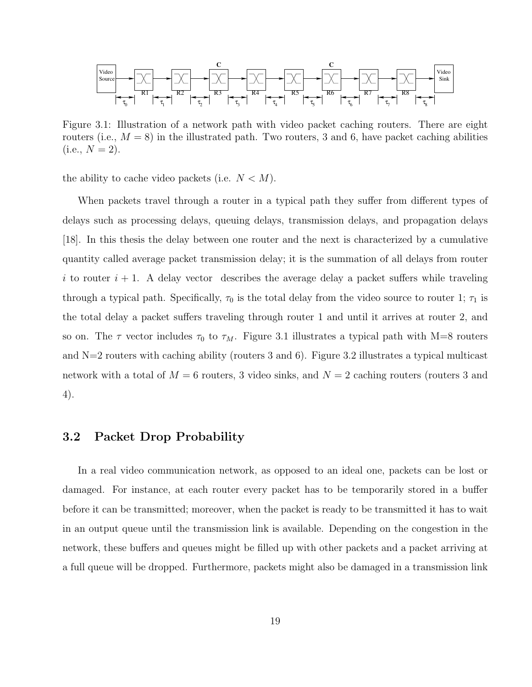

Figure 3.1: Illustration of a network path with video packet caching routers. There are eight routers (i.e.,  $M = 8$ ) in the illustrated path. Two routers, 3 and 6, have packet caching abilities  $(i.e., N = 2).$ 

the ability to cache video packets (i.e.  $N < M$ ).

When packets travel through a router in a typical path they suffer from different types of delays such as processing delays, queuing delays, transmission delays, and propagation delays [18]. In this thesis the delay between one router and the next is characterized by a cumulative quantity called average packet transmission delay; it is the summation of all delays from router i to router  $i + 1$ . A delay vector describes the average delay a packet suffers while traveling through a typical path. Specifically,  $\tau_0$  is the total delay from the video source to router 1;  $\tau_1$  is the total delay a packet suffers traveling through router 1 and until it arrives at router 2, and so on. The  $\tau$  vector includes  $\tau_0$  to  $\tau_M$ . Figure 3.1 illustrates a typical path with M=8 routers and  $N=2$  routers with caching ability (routers 3 and 6). Figure 3.2 illustrates a typical multicast network with a total of  $M = 6$  routers, 3 video sinks, and  $N = 2$  caching routers (routers 3 and 4).

### 3.2 Packet Drop Probability

In a real video communication network, as opposed to an ideal one, packets can be lost or damaged. For instance, at each router every packet has to be temporarily stored in a buffer before it can be transmitted; moreover, when the packet is ready to be transmitted it has to wait in an output queue until the transmission link is available. Depending on the congestion in the network, these buffers and queues might be filled up with other packets and a packet arriving at a full queue will be dropped. Furthermore, packets might also be damaged in a transmission link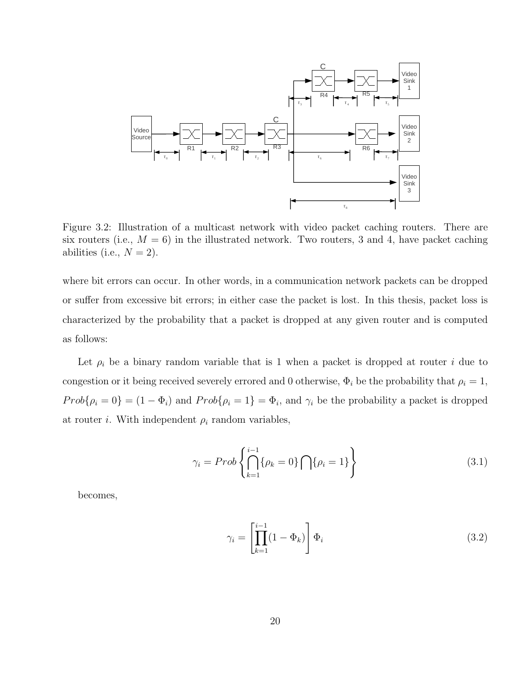

Figure 3.2: Illustration of a multicast network with video packet caching routers. There are six routers (i.e.,  $M = 6$ ) in the illustrated network. Two routers, 3 and 4, have packet caching abilities (i.e.,  $N = 2$ ).

where bit errors can occur. In other words, in a communication network packets can be dropped or suffer from excessive bit errors; in either case the packet is lost. In this thesis, packet loss is characterized by the probability that a packet is dropped at any given router and is computed as follows:

Let  $\rho_i$  be a binary random variable that is 1 when a packet is dropped at router i due to congestion or it being received severely errored and 0 otherwise,  $\Phi_i$  be the probability that  $\rho_i = 1$ ,  $Prob\{\rho_i = 0\} = (1 - \Phi_i)$  and  $Prob\{\rho_i = 1\} = \Phi_i$ , and  $\gamma_i$  be the probability a packet is dropped at router *i*. With independent  $\rho_i$  random variables,

$$
\gamma_i = Prob\left\{\bigcap_{k=1}^{i-1} \{\rho_k = 0\} \bigcap \{\rho_i = 1\}\right\} \tag{3.1}
$$

becomes,

$$
\gamma_i = \left[ \prod_{k=1}^{i-1} (1 - \Phi_k) \right] \Phi_i \tag{3.2}
$$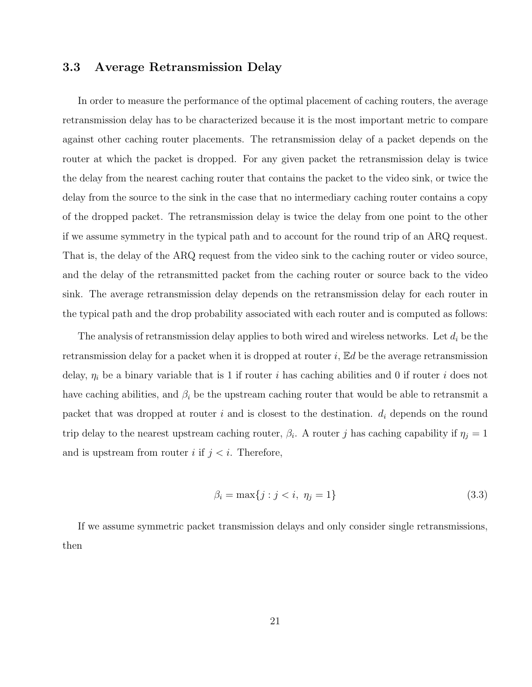### 3.3 Average Retransmission Delay

In order to measure the performance of the optimal placement of caching routers, the average retransmission delay has to be characterized because it is the most important metric to compare against other caching router placements. The retransmission delay of a packet depends on the router at which the packet is dropped. For any given packet the retransmission delay is twice the delay from the nearest caching router that contains the packet to the video sink, or twice the delay from the source to the sink in the case that no intermediary caching router contains a copy of the dropped packet. The retransmission delay is twice the delay from one point to the other if we assume symmetry in the typical path and to account for the round trip of an ARQ request. That is, the delay of the ARQ request from the video sink to the caching router or video source, and the delay of the retransmitted packet from the caching router or source back to the video sink. The average retransmission delay depends on the retransmission delay for each router in the typical path and the drop probability associated with each router and is computed as follows:

The analysis of retransmission delay applies to both wired and wireless networks. Let  $d_i$  be the retransmission delay for a packet when it is dropped at router  $i$ ,  $\mathbb{E}d$  be the average retransmission delay,  $\eta_i$  be a binary variable that is 1 if router i has caching abilities and 0 if router i does not have caching abilities, and  $\beta_i$  be the upstream caching router that would be able to retransmit a packet that was dropped at router  $i$  and is closest to the destination.  $d_i$  depends on the round trip delay to the nearest upstream caching router,  $\beta_i$ . A router j has caching capability if  $\eta_j = 1$ and is upstream from router i if  $j < i$ . Therefore,

$$
\beta_i = \max\{j : j < i, \ \eta_j = 1\} \tag{3.3}
$$

If we assume symmetric packet transmission delays and only consider single retransmissions, then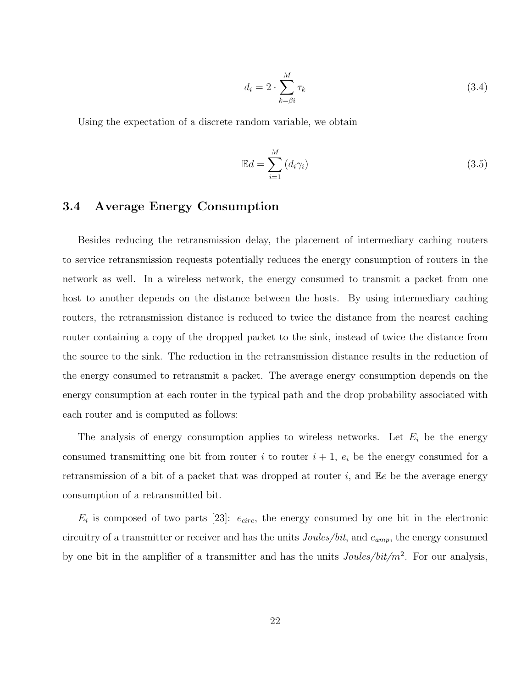$$
d_i = 2 \cdot \sum_{k=\beta i}^{M} \tau_k \tag{3.4}
$$

Using the expectation of a discrete random variable, we obtain

$$
\mathbb{E}d = \sum_{i=1}^{M} (d_i \gamma_i)
$$
\n(3.5)

### 3.4 Average Energy Consumption

Besides reducing the retransmission delay, the placement of intermediary caching routers to service retransmission requests potentially reduces the energy consumption of routers in the network as well. In a wireless network, the energy consumed to transmit a packet from one host to another depends on the distance between the hosts. By using intermediary caching routers, the retransmission distance is reduced to twice the distance from the nearest caching router containing a copy of the dropped packet to the sink, instead of twice the distance from the source to the sink. The reduction in the retransmission distance results in the reduction of the energy consumed to retransmit a packet. The average energy consumption depends on the energy consumption at each router in the typical path and the drop probability associated with each router and is computed as follows:

The analysis of energy consumption applies to wireless networks. Let  $E_i$  be the energy consumed transmitting one bit from router i to router  $i + 1$ ,  $e_i$  be the energy consumed for a retransmission of a bit of a packet that was dropped at router  $i$ , and  $\mathbb{E}e$  be the average energy consumption of a retransmitted bit.

 $E_i$  is composed of two parts [23]:  $e_{circ}$ , the energy consumed by one bit in the electronic circuitry of a transmitter or receiver and has the units  $Joules/bit$ , and  $e_{amp}$ , the energy consumed by one bit in the amplifier of a transmitter and has the units  $Joules/bit/m^2$ . For our analysis,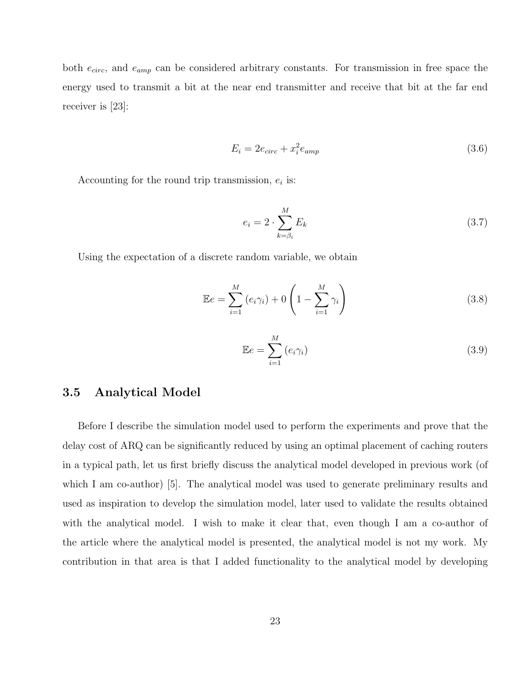both  $e_{circ}$ , and  $e_{amp}$  can be considered arbitrary constants. For transmission in free space the energy used to transmit a bit at the near end transmitter and receive that bit at the far end receiver is [23]:

$$
E_i = 2e_{circ} + x_i^2 e_{amp} \tag{3.6}
$$

Accounting for the round trip transmission,  $e_i$  is:

$$
e_i = 2 \cdot \sum_{k=\beta_i}^{M} E_k \tag{3.7}
$$

Using the expectation of a discrete random variable, we obtain

$$
\mathbb{E}e = \sum_{i=1}^{M} (e_i \gamma_i) + 0 \left( 1 - \sum_{i=1}^{M} \gamma_i \right)
$$
 (3.8)

$$
\mathbb{E}e = \sum_{i=1}^{M} (e_i \gamma_i)
$$
 (3.9)

### 3.5 Analytical Model

Before I describe the simulation model used to perform the experiments and prove that the delay cost of ARQ can be significantly reduced by using an optimal placement of caching routers in a typical path, let us first briefly discuss the analytical model developed in previous work (of which I am co-author) [5]. The analytical model was used to generate preliminary results and used as inspiration to develop the simulation model, later used to validate the results obtained with the analytical model. I wish to make it clear that, even though I am a co-author of the article where the analytical model is presented, the analytical model is not my work. My contribution in that area is that I added functionality to the analytical model by developing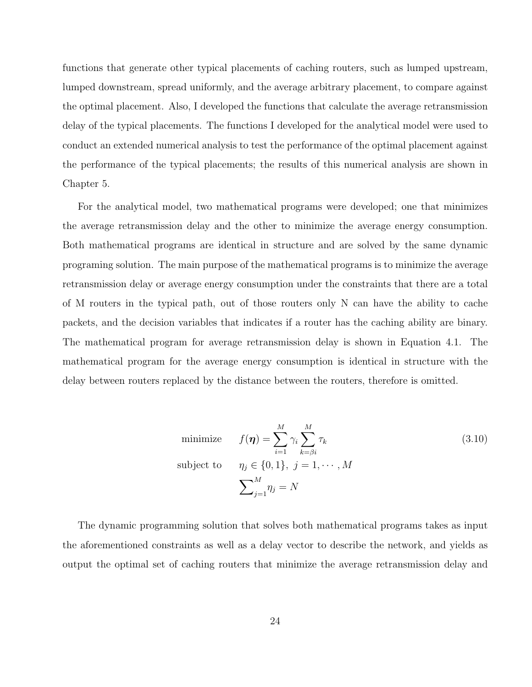functions that generate other typical placements of caching routers, such as lumped upstream, lumped downstream, spread uniformly, and the average arbitrary placement, to compare against the optimal placement. Also, I developed the functions that calculate the average retransmission delay of the typical placements. The functions I developed for the analytical model were used to conduct an extended numerical analysis to test the performance of the optimal placement against the performance of the typical placements; the results of this numerical analysis are shown in Chapter 5.

For the analytical model, two mathematical programs were developed; one that minimizes the average retransmission delay and the other to minimize the average energy consumption. Both mathematical programs are identical in structure and are solved by the same dynamic programing solution. The main purpose of the mathematical programs is to minimize the average retransmission delay or average energy consumption under the constraints that there are a total of M routers in the typical path, out of those routers only N can have the ability to cache packets, and the decision variables that indicates if a router has the caching ability are binary. The mathematical program for average retransmission delay is shown in Equation 4.1. The mathematical program for the average energy consumption is identical in structure with the delay between routers replaced by the distance between the routers, therefore is omitted.

minimize 
$$
f(\eta) = \sum_{i=1}^{M} \gamma_i \sum_{k=\beta i}^{M} \tau_k
$$
  
\nsubject to  $\eta_j \in \{0, 1\}, j = 1, \dots, M$   
\n
$$
\sum_{j=1}^{M} \eta_j = N
$$
\n(3.10)

The dynamic programming solution that solves both mathematical programs takes as input the aforementioned constraints as well as a delay vector to describe the network, and yields as output the optimal set of caching routers that minimize the average retransmission delay and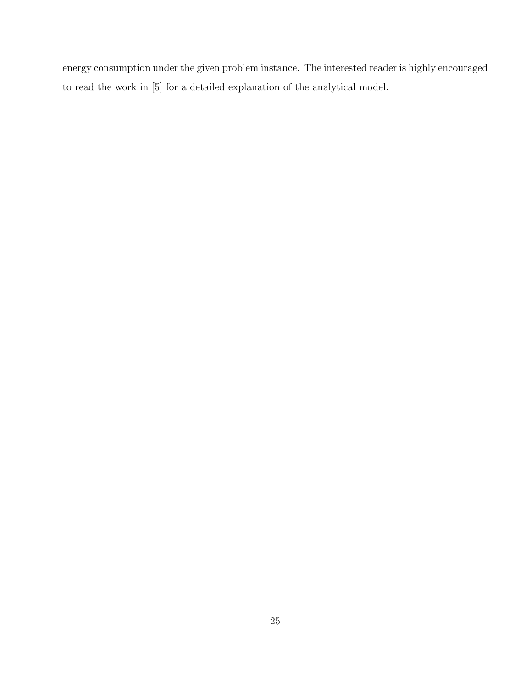energy consumption under the given problem instance. The interested reader is highly encouraged to read the work in [5] for a detailed explanation of the analytical model.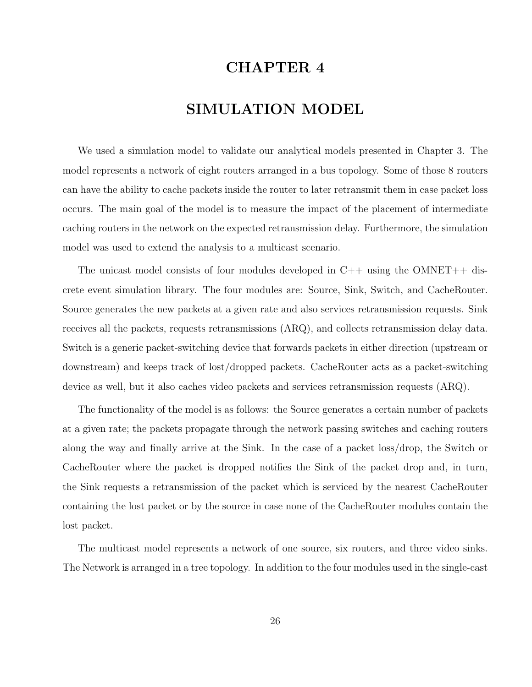# CHAPTER 4

# SIMULATION MODEL

We used a simulation model to validate our analytical models presented in Chapter 3. The model represents a network of eight routers arranged in a bus topology. Some of those 8 routers can have the ability to cache packets inside the router to later retransmit them in case packet loss occurs. The main goal of the model is to measure the impact of the placement of intermediate caching routers in the network on the expected retransmission delay. Furthermore, the simulation model was used to extend the analysis to a multicast scenario.

The unicast model consists of four modules developed in C++ using the OMNET++ discrete event simulation library. The four modules are: Source, Sink, Switch, and CacheRouter. Source generates the new packets at a given rate and also services retransmission requests. Sink receives all the packets, requests retransmissions (ARQ), and collects retransmission delay data. Switch is a generic packet-switching device that forwards packets in either direction (upstream or downstream) and keeps track of lost/dropped packets. CacheRouter acts as a packet-switching device as well, but it also caches video packets and services retransmission requests (ARQ).

The functionality of the model is as follows: the Source generates a certain number of packets at a given rate; the packets propagate through the network passing switches and caching routers along the way and finally arrive at the Sink. In the case of a packet loss/drop, the Switch or CacheRouter where the packet is dropped notifies the Sink of the packet drop and, in turn, the Sink requests a retransmission of the packet which is serviced by the nearest CacheRouter containing the lost packet or by the source in case none of the CacheRouter modules contain the lost packet.

The multicast model represents a network of one source, six routers, and three video sinks. The Network is arranged in a tree topology. In addition to the four modules used in the single-cast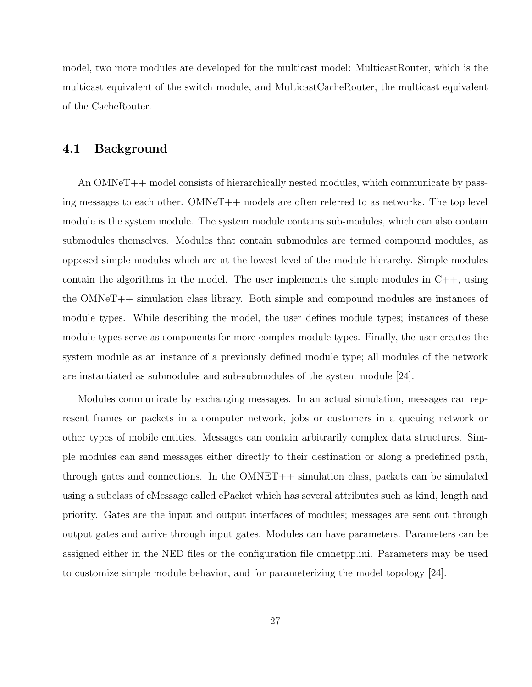model, two more modules are developed for the multicast model: MulticastRouter, which is the multicast equivalent of the switch module, and MulticastCacheRouter, the multicast equivalent of the CacheRouter.

### 4.1 Background

An OMNeT++ model consists of hierarchically nested modules, which communicate by passing messages to each other. OMNeT++ models are often referred to as networks. The top level module is the system module. The system module contains sub-modules, which can also contain submodules themselves. Modules that contain submodules are termed compound modules, as opposed simple modules which are at the lowest level of the module hierarchy. Simple modules contain the algorithms in the model. The user implements the simple modules in  $C++$ , using the OMNeT++ simulation class library. Both simple and compound modules are instances of module types. While describing the model, the user defines module types; instances of these module types serve as components for more complex module types. Finally, the user creates the system module as an instance of a previously defined module type; all modules of the network are instantiated as submodules and sub-submodules of the system module [24].

Modules communicate by exchanging messages. In an actual simulation, messages can represent frames or packets in a computer network, jobs or customers in a queuing network or other types of mobile entities. Messages can contain arbitrarily complex data structures. Simple modules can send messages either directly to their destination or along a predefined path, through gates and connections. In the  $OMNET++$  simulation class, packets can be simulated using a subclass of cMessage called cPacket which has several attributes such as kind, length and priority. Gates are the input and output interfaces of modules; messages are sent out through output gates and arrive through input gates. Modules can have parameters. Parameters can be assigned either in the NED files or the configuration file omnetpp.ini. Parameters may be used to customize simple module behavior, and for parameterizing the model topology [24].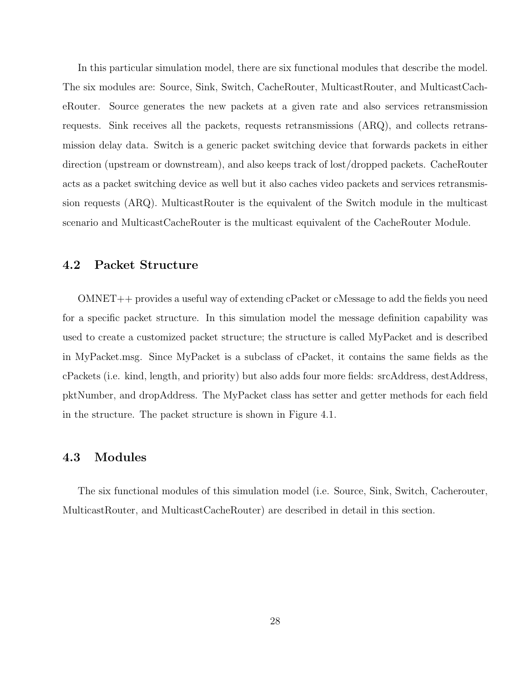In this particular simulation model, there are six functional modules that describe the model. The six modules are: Source, Sink, Switch, CacheRouter, MulticastRouter, and MulticastCacheRouter. Source generates the new packets at a given rate and also services retransmission requests. Sink receives all the packets, requests retransmissions (ARQ), and collects retransmission delay data. Switch is a generic packet switching device that forwards packets in either direction (upstream or downstream), and also keeps track of lost/dropped packets. CacheRouter acts as a packet switching device as well but it also caches video packets and services retransmission requests (ARQ). MulticastRouter is the equivalent of the Switch module in the multicast scenario and MulticastCacheRouter is the multicast equivalent of the CacheRouter Module.

### 4.2 Packet Structure

OMNET++ provides a useful way of extending cPacket or cMessage to add the fields you need for a specific packet structure. In this simulation model the message definition capability was used to create a customized packet structure; the structure is called MyPacket and is described in MyPacket.msg. Since MyPacket is a subclass of cPacket, it contains the same fields as the cPackets (i.e. kind, length, and priority) but also adds four more fields: srcAddress, destAddress, pktNumber, and dropAddress. The MyPacket class has setter and getter methods for each field in the structure. The packet structure is shown in Figure 4.1.

### 4.3 Modules

The six functional modules of this simulation model (i.e. Source, Sink, Switch, Cacherouter, MulticastRouter, and MulticastCacheRouter) are described in detail in this section.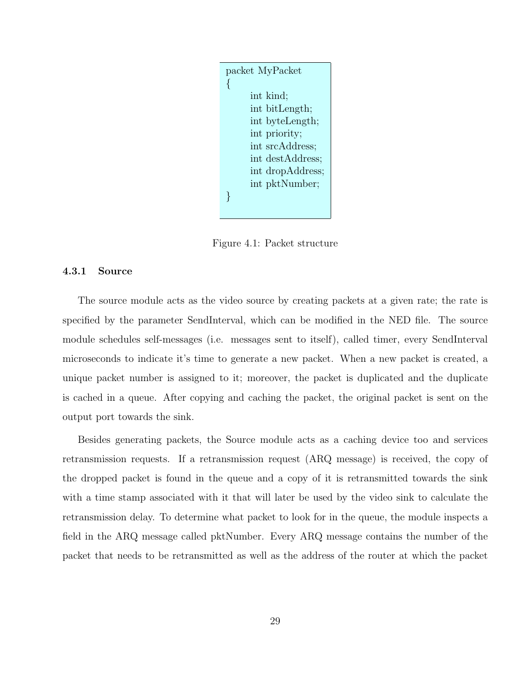

Figure 4.1: Packet structure

### 4.3.1 Source

The source module acts as the video source by creating packets at a given rate; the rate is specified by the parameter SendInterval, which can be modified in the NED file. The source module schedules self-messages (i.e. messages sent to itself), called timer, every SendInterval microseconds to indicate it's time to generate a new packet. When a new packet is created, a unique packet number is assigned to it; moreover, the packet is duplicated and the duplicate is cached in a queue. After copying and caching the packet, the original packet is sent on the output port towards the sink.

Besides generating packets, the Source module acts as a caching device too and services retransmission requests. If a retransmission request (ARQ message) is received, the copy of the dropped packet is found in the queue and a copy of it is retransmitted towards the sink with a time stamp associated with it that will later be used by the video sink to calculate the retransmission delay. To determine what packet to look for in the queue, the module inspects a field in the ARQ message called pktNumber. Every ARQ message contains the number of the packet that needs to be retransmitted as well as the address of the router at which the packet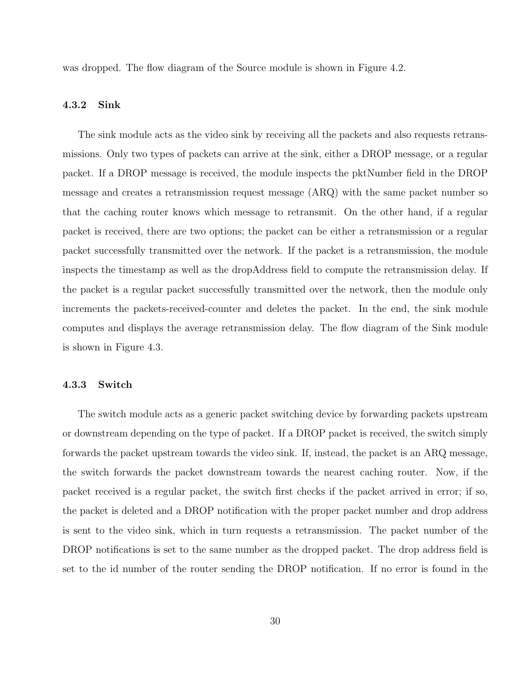was dropped. The flow diagram of the Source module is shown in Figure 4.2.

### 4.3.2 Sink

The sink module acts as the video sink by receiving all the packets and also requests retransmissions. Only two types of packets can arrive at the sink, either a DROP message, or a regular packet. If a DROP message is received, the module inspects the pktNumber field in the DROP message and creates a retransmission request message (ARQ) with the same packet number so that the caching router knows which message to retransmit. On the other hand, if a regular packet is received, there are two options; the packet can be either a retransmission or a regular packet successfully transmitted over the network. If the packet is a retransmission, the module inspects the timestamp as well as the dropAddress field to compute the retransmission delay. If the packet is a regular packet successfully transmitted over the network, then the module only increments the packets-received-counter and deletes the packet. In the end, the sink module computes and displays the average retransmission delay. The flow diagram of the Sink module is shown in Figure 4.3.

#### 4.3.3 Switch

The switch module acts as a generic packet switching device by forwarding packets upstream or downstream depending on the type of packet. If a DROP packet is received, the switch simply forwards the packet upstream towards the video sink. If, instead, the packet is an ARQ message, the switch forwards the packet downstream towards the nearest caching router. Now, if the packet received is a regular packet, the switch first checks if the packet arrived in error; if so, the packet is deleted and a DROP notification with the proper packet number and drop address is sent to the video sink, which in turn requests a retransmission. The packet number of the DROP notifications is set to the same number as the dropped packet. The drop address field is set to the id number of the router sending the DROP notification. If no error is found in the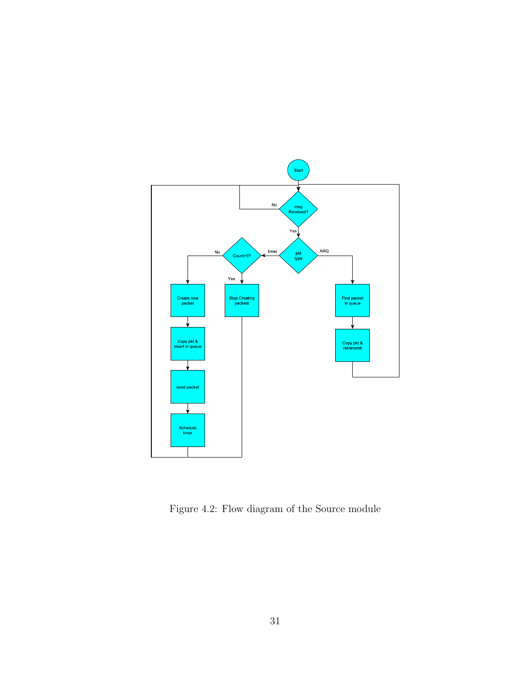

Figure 4.2: Flow diagram of the Source module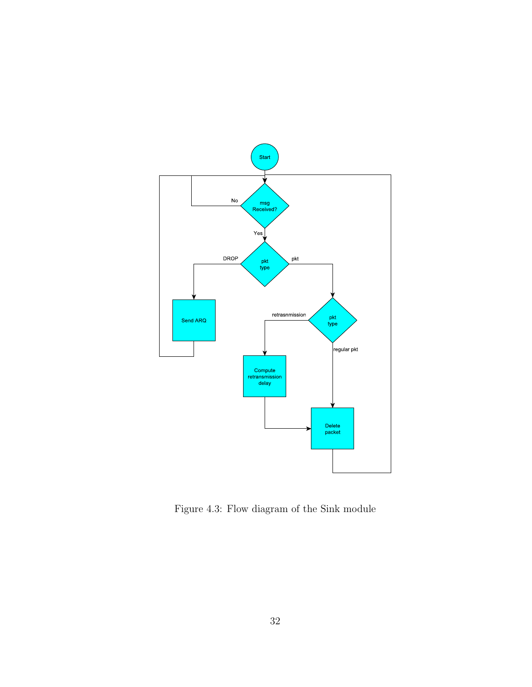

Figure 4.3: Flow diagram of the Sink module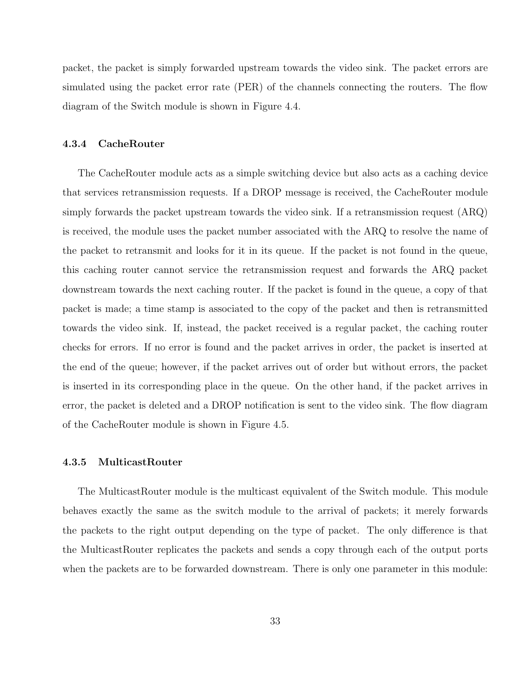packet, the packet is simply forwarded upstream towards the video sink. The packet errors are simulated using the packet error rate (PER) of the channels connecting the routers. The flow diagram of the Switch module is shown in Figure 4.4.

#### 4.3.4 CacheRouter

The CacheRouter module acts as a simple switching device but also acts as a caching device that services retransmission requests. If a DROP message is received, the CacheRouter module simply forwards the packet upstream towards the video sink. If a retransmission request (ARQ) is received, the module uses the packet number associated with the ARQ to resolve the name of the packet to retransmit and looks for it in its queue. If the packet is not found in the queue, this caching router cannot service the retransmission request and forwards the ARQ packet downstream towards the next caching router. If the packet is found in the queue, a copy of that packet is made; a time stamp is associated to the copy of the packet and then is retransmitted towards the video sink. If, instead, the packet received is a regular packet, the caching router checks for errors. If no error is found and the packet arrives in order, the packet is inserted at the end of the queue; however, if the packet arrives out of order but without errors, the packet is inserted in its corresponding place in the queue. On the other hand, if the packet arrives in error, the packet is deleted and a DROP notification is sent to the video sink. The flow diagram of the CacheRouter module is shown in Figure 4.5.

#### 4.3.5 MulticastRouter

The MulticastRouter module is the multicast equivalent of the Switch module. This module behaves exactly the same as the switch module to the arrival of packets; it merely forwards the packets to the right output depending on the type of packet. The only difference is that the MulticastRouter replicates the packets and sends a copy through each of the output ports when the packets are to be forwarded downstream. There is only one parameter in this module: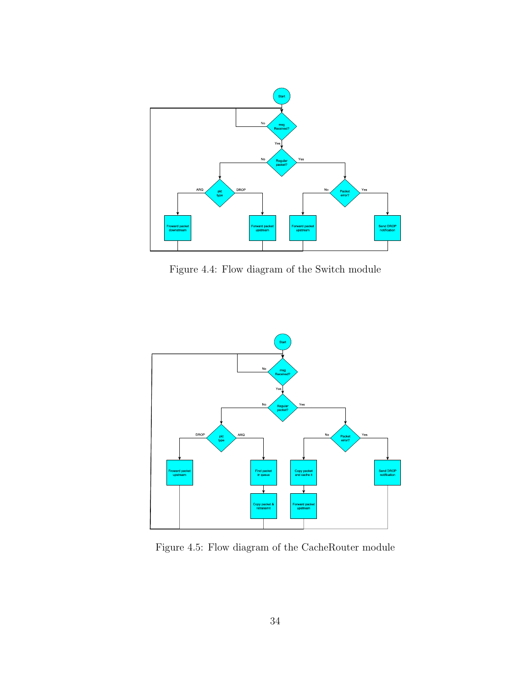

Figure 4.4: Flow diagram of the Switch module



Figure 4.5: Flow diagram of the CacheRouter module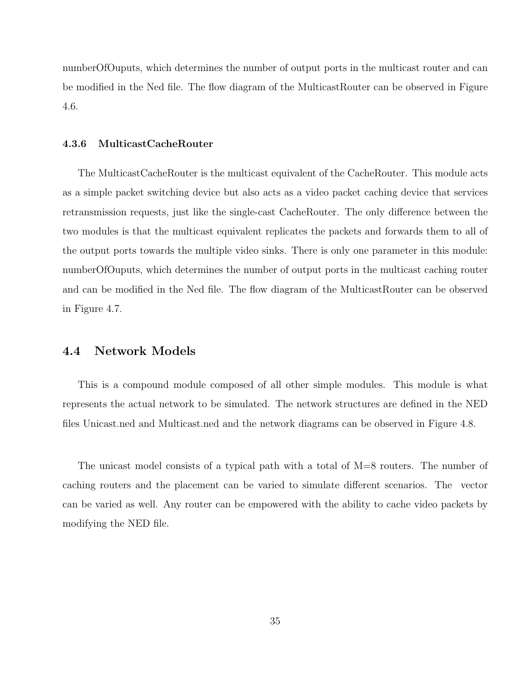numberOfOuputs, which determines the number of output ports in the multicast router and can be modified in the Ned file. The flow diagram of the MulticastRouter can be observed in Figure 4.6.

#### 4.3.6 MulticastCacheRouter

The MulticastCacheRouter is the multicast equivalent of the CacheRouter. This module acts as a simple packet switching device but also acts as a video packet caching device that services retransmission requests, just like the single-cast CacheRouter. The only difference between the two modules is that the multicast equivalent replicates the packets and forwards them to all of the output ports towards the multiple video sinks. There is only one parameter in this module: numberOfOuputs, which determines the number of output ports in the multicast caching router and can be modified in the Ned file. The flow diagram of the MulticastRouter can be observed in Figure 4.7.

### 4.4 Network Models

This is a compound module composed of all other simple modules. This module is what represents the actual network to be simulated. The network structures are defined in the NED files Unicast.ned and Multicast.ned and the network diagrams can be observed in Figure 4.8.

The unicast model consists of a typical path with a total of M=8 routers. The number of caching routers and the placement can be varied to simulate different scenarios. The vector can be varied as well. Any router can be empowered with the ability to cache video packets by modifying the NED file.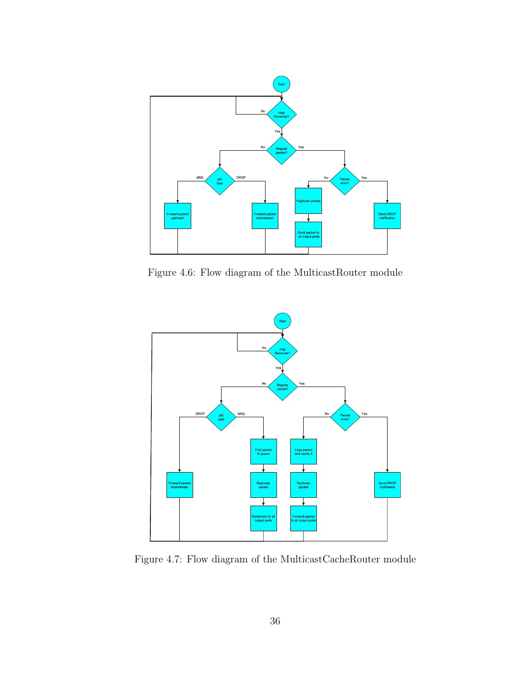

Figure 4.6: Flow diagram of the MulticastRouter module



Figure 4.7: Flow diagram of the MulticastCacheRouter module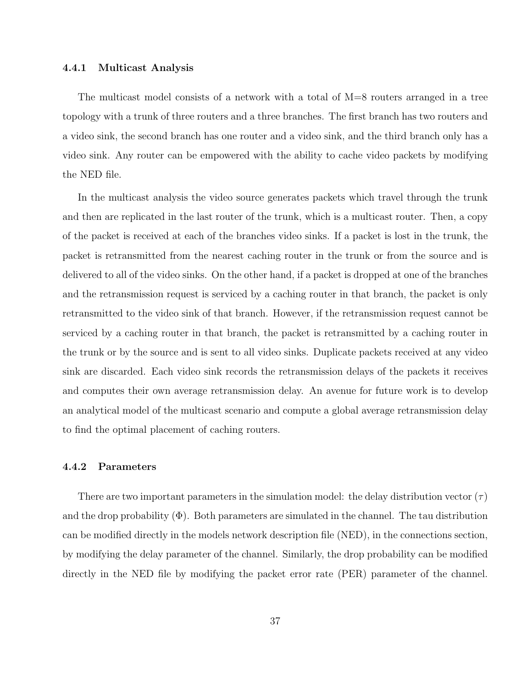#### 4.4.1 Multicast Analysis

The multicast model consists of a network with a total of M=8 routers arranged in a tree topology with a trunk of three routers and a three branches. The first branch has two routers and a video sink, the second branch has one router and a video sink, and the third branch only has a video sink. Any router can be empowered with the ability to cache video packets by modifying the NED file.

In the multicast analysis the video source generates packets which travel through the trunk and then are replicated in the last router of the trunk, which is a multicast router. Then, a copy of the packet is received at each of the branches video sinks. If a packet is lost in the trunk, the packet is retransmitted from the nearest caching router in the trunk or from the source and is delivered to all of the video sinks. On the other hand, if a packet is dropped at one of the branches and the retransmission request is serviced by a caching router in that branch, the packet is only retransmitted to the video sink of that branch. However, if the retransmission request cannot be serviced by a caching router in that branch, the packet is retransmitted by a caching router in the trunk or by the source and is sent to all video sinks. Duplicate packets received at any video sink are discarded. Each video sink records the retransmission delays of the packets it receives and computes their own average retransmission delay. An avenue for future work is to develop an analytical model of the multicast scenario and compute a global average retransmission delay to find the optimal placement of caching routers.

#### 4.4.2 Parameters

There are two important parameters in the simulation model: the delay distribution vector  $(\tau)$ and the drop probability  $(\Phi)$ . Both parameters are simulated in the channel. The tau distribution can be modified directly in the models network description file (NED), in the connections section, by modifying the delay parameter of the channel. Similarly, the drop probability can be modified directly in the NED file by modifying the packet error rate (PER) parameter of the channel.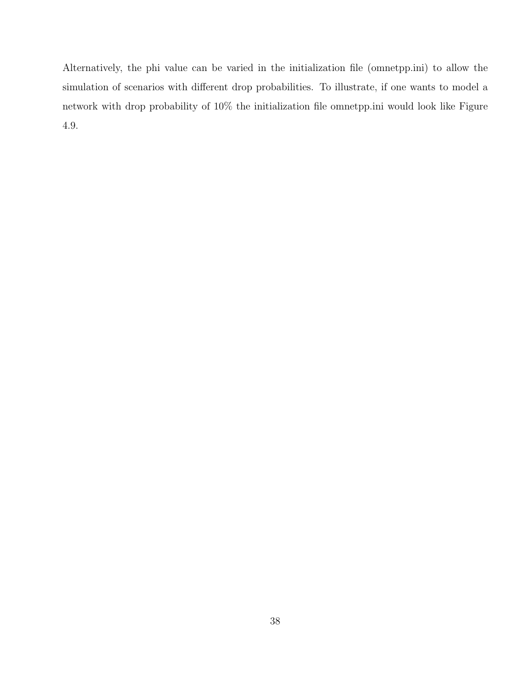Alternatively, the phi value can be varied in the initialization file (omnetpp.ini) to allow the simulation of scenarios with different drop probabilities. To illustrate, if one wants to model a network with drop probability of 10% the initialization file omnetpp.ini would look like Figure 4.9.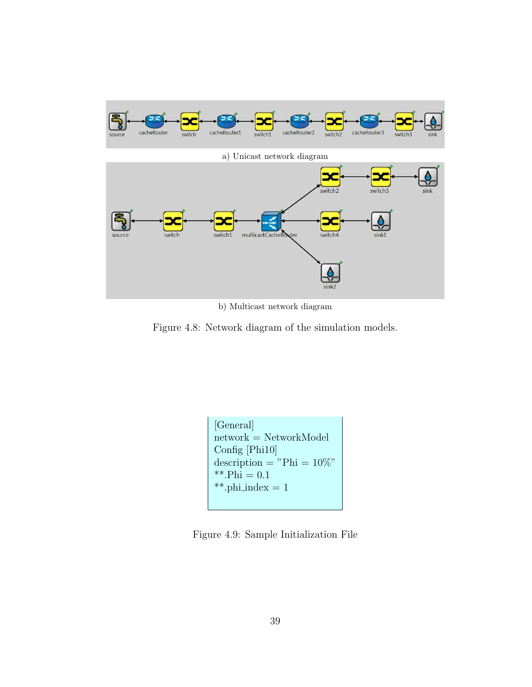



b) Multicast network diagram

Figure 4.8: Network diagram of the simulation models.

| [General]                     |
|-------------------------------|
| $network = NetworkModel$      |
| Config $[Phi10]$              |
| description = "Phi = $10\%$ " |
| ** Phi = $0.1$                |
| **.phi_index = $1$            |
|                               |

Figure 4.9: Sample Initialization File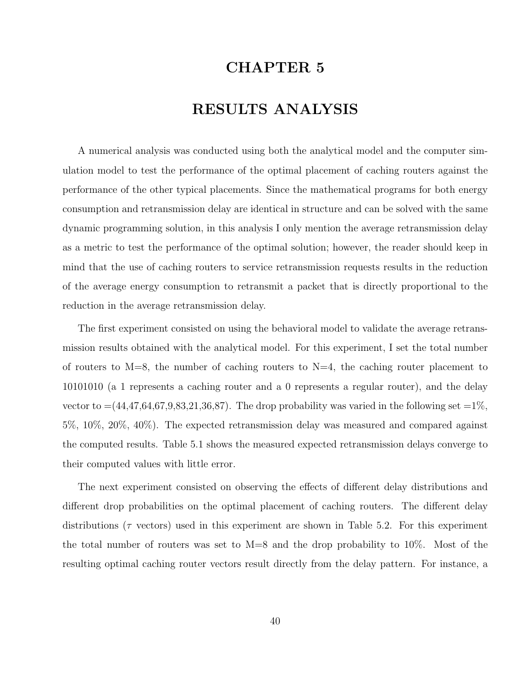# CHAPTER 5

# RESULTS ANALYSIS

A numerical analysis was conducted using both the analytical model and the computer simulation model to test the performance of the optimal placement of caching routers against the performance of the other typical placements. Since the mathematical programs for both energy consumption and retransmission delay are identical in structure and can be solved with the same dynamic programming solution, in this analysis I only mention the average retransmission delay as a metric to test the performance of the optimal solution; however, the reader should keep in mind that the use of caching routers to service retransmission requests results in the reduction of the average energy consumption to retransmit a packet that is directly proportional to the reduction in the average retransmission delay.

The first experiment consisted on using the behavioral model to validate the average retransmission results obtained with the analytical model. For this experiment, I set the total number of routers to  $M=8$ , the number of caching routers to  $N=4$ , the caching router placement to 10101010 (a 1 represents a caching router and a 0 represents a regular router), and the delay vector to  $=(44,47,64,67,9,83,21,36,87)$ . The drop probability was varied in the following set  $=1\%$ , 5%, 10%, 20%, 40%). The expected retransmission delay was measured and compared against the computed results. Table 5.1 shows the measured expected retransmission delays converge to their computed values with little error.

The next experiment consisted on observing the effects of different delay distributions and different drop probabilities on the optimal placement of caching routers. The different delay distributions ( $\tau$  vectors) used in this experiment are shown in Table 5.2. For this experiment the total number of routers was set to  $M=8$  and the drop probability to 10%. Most of the resulting optimal caching router vectors result directly from the delay pattern. For instance, a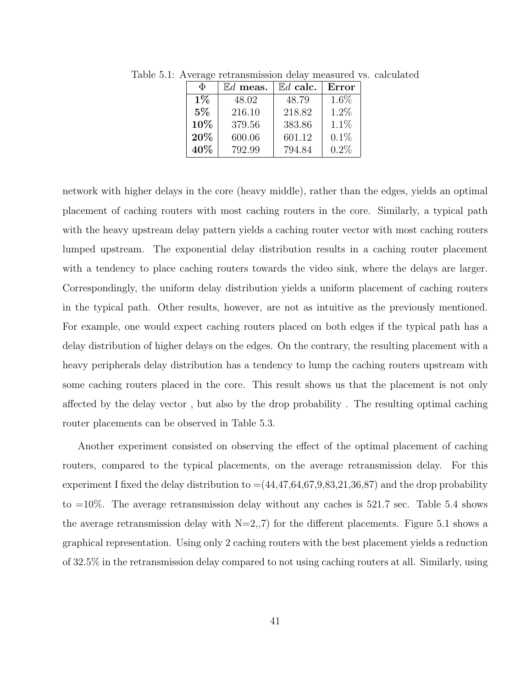| Φ     | $\mathbb{E}$ d meas. | $\mathbb{E}d$ calc. | Error   |
|-------|----------------------|---------------------|---------|
| $1\%$ | 48.02                | 48.79               | $1.6\%$ |
| $5\%$ | 216.10               | 218.82              | 1.2%    |
| 10%   | 379.56               | 383.86              | $1.1\%$ |
| 20%   | 600.06               | 601.12              | $0.1\%$ |
| 40\%  | 792.99               | 794.84              | 0.2%    |

Table 5.1: Average retransmission delay measured vs. calculated

network with higher delays in the core (heavy middle), rather than the edges, yields an optimal placement of caching routers with most caching routers in the core. Similarly, a typical path with the heavy upstream delay pattern yields a caching router vector with most caching routers lumped upstream. The exponential delay distribution results in a caching router placement with a tendency to place caching routers towards the video sink, where the delays are larger. Correspondingly, the uniform delay distribution yields a uniform placement of caching routers in the typical path. Other results, however, are not as intuitive as the previously mentioned. For example, one would expect caching routers placed on both edges if the typical path has a delay distribution of higher delays on the edges. On the contrary, the resulting placement with a heavy peripherals delay distribution has a tendency to lump the caching routers upstream with some caching routers placed in the core. This result shows us that the placement is not only affected by the delay vector , but also by the drop probability . The resulting optimal caching router placements can be observed in Table 5.3.

Another experiment consisted on observing the effect of the optimal placement of caching routers, compared to the typical placements, on the average retransmission delay. For this experiment I fixed the delay distribution to  $=(44,47,64,67,9,83,21,36,87)$  and the drop probability to =10%. The average retransmission delay without any caches is 521.7 sec. Table 5.4 shows the average retransmission delay with  $N=2,7$  for the different placements. Figure 5.1 shows a graphical representation. Using only 2 caching routers with the best placement yields a reduction of 32.5% in the retransmission delay compared to not using caching routers at all. Similarly, using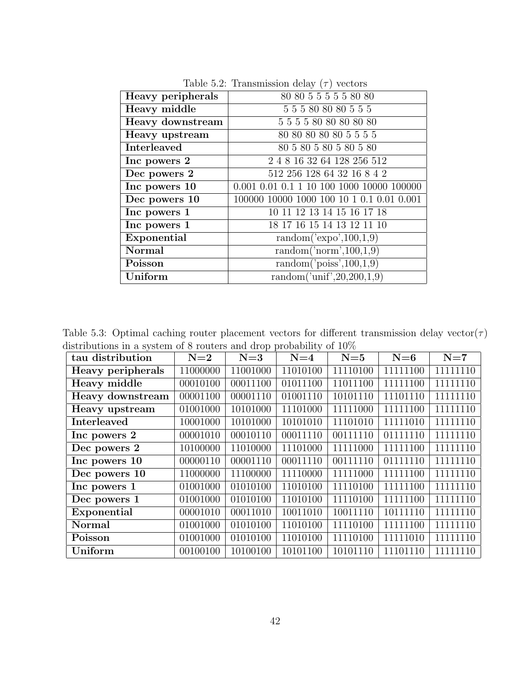| <b>Heavy peripherals</b> | 80 80 5 5 5 5 5 80 80                                       |
|--------------------------|-------------------------------------------------------------|
| Heavy middle             | 5 5 5 80 80 80 5 5 5                                        |
| Heavy downstream         | 5 5 5 5 80 80 80 80 80                                      |
| Heavy upstream           | 80 80 80 80 80 5 5 5 5                                      |
| Interleaved              | 80 5 80 5 80 5 80 5 80                                      |
| Inc powers 2             | 2 4 8 16 32 64 128 256 512                                  |
| Dec powers 2             | 512 256 128 64 32 16 8 4 2                                  |
| Inc powers 10            | $0.001$ $0.01$ $0.1$ $1$ $10$ $100$ $1000$ $10000$ $100000$ |
| Dec powers 10            |                                                             |
| Inc powers 1             | 10 11 12 13 14 15 16 17 18                                  |
| Inc powers 1             | 18 17 16 15 14 13 12 11 10                                  |
| Exponential              | random('expo', $100,1,9$ )                                  |
| Normal                   | random('norm', $100,1,9$ )                                  |
| Poisson                  | random( $'poiss', 100, 1, 9$ )                              |
| Uniform                  | random('unif', 20, 200, 1, 9)                               |

Table 5.2: Transmission delay  $(\tau)$  vectors

Table 5.3: Optimal caching router placement vectors for different transmission delay vector( $\tau$ ) distributions in a system of 8 routers and drop probability of  $10\%$ 

| tau distribution   | $N=2$    | $N=3$    | $N=4$    | $N=5$    | $N=6$    | $N=7$    |
|--------------------|----------|----------|----------|----------|----------|----------|
| Heavy peripherals  | 11000000 | 11001000 | 11010100 | 11110100 | 11111100 | 11111110 |
| Heavy middle       | 00010100 | 00011100 | 01011100 | 11011100 | 11111100 | 11111110 |
| Heavy downstream   | 00001100 | 00001110 | 01001110 | 10101110 | 11101110 | 11111110 |
| Heavy upstream     | 01001000 | 10101000 | 11101000 | 11111000 | 11111100 | 11111110 |
| <b>Interleaved</b> | 10001000 | 10101000 | 10101010 | 11101010 | 11111010 | 11111110 |
| Inc powers 2       | 00001010 | 00010110 | 00011110 | 00111110 | 01111110 | 11111110 |
| Dec powers 2       | 10100000 | 11010000 | 11101000 | 11111000 | 11111100 | 11111110 |
| Inc powers 10      | 00000110 | 00001110 | 00011110 | 00111110 | 01111110 | 11111110 |
| Dec powers 10      | 11000000 | 11100000 | 11110000 | 11111000 | 11111100 | 11111110 |
| Inc powers 1       | 01001000 | 01010100 | 11010100 | 11110100 | 11111100 | 11111110 |
| Dec powers 1       | 01001000 | 01010100 | 11010100 | 11110100 | 11111100 | 11111110 |
| Exponential        | 00001010 | 00011010 | 10011010 | 10011110 | 10111110 | 11111110 |
| Normal             | 01001000 | 01010100 | 11010100 | 11110100 | 11111100 | 11111110 |
| Poisson            | 01001000 | 01010100 | 11010100 | 11110100 | 11111010 | 11111110 |
| Uniform            | 00100100 | 10100100 | 10101100 | 10101110 | 11101110 | 11111110 |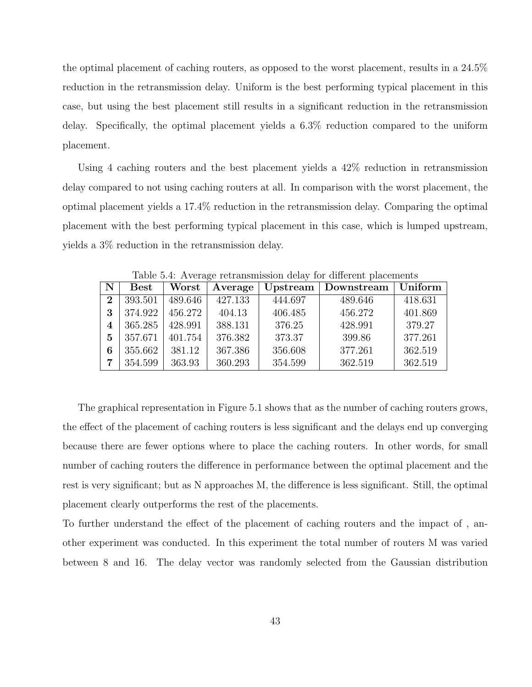the optimal placement of caching routers, as opposed to the worst placement, results in a 24.5% reduction in the retransmission delay. Uniform is the best performing typical placement in this case, but using the best placement still results in a significant reduction in the retransmission delay. Specifically, the optimal placement yields a 6.3% reduction compared to the uniform placement.

Using 4 caching routers and the best placement yields a 42% reduction in retransmission delay compared to not using caching routers at all. In comparison with the worst placement, the optimal placement yields a 17.4% reduction in the retransmission delay. Comparing the optimal placement with the best performing typical placement in this case, which is lumped upstream, yields a 3% reduction in the retransmission delay.

|             | Table 0.4. Tryerage Tetransmission delay for unicrent placements |         |         |         |                       |         |  |  |
|-------------|------------------------------------------------------------------|---------|---------|---------|-----------------------|---------|--|--|
| $\mathbf N$ | $\operatorname{Best}$                                            | Worst   | Average |         | Upstream   Downstream | Uniform |  |  |
| $\bf{2}$    | 393.501                                                          | 489.646 | 427.133 | 444.697 | 489.646               | 418.631 |  |  |
| 3           | 374.922                                                          | 456.272 | 404.13  | 406.485 | 456.272               | 401.869 |  |  |
| 4           | 365.285                                                          | 428.991 | 388.131 | 376.25  | 428.991               | 379.27  |  |  |
| 5           | 357.671                                                          | 401.754 | 376.382 | 373.37  | 399.86                | 377.261 |  |  |
| 6           | 355.662                                                          | 381.12  | 367.386 | 356.608 | 377.261               | 362.519 |  |  |
| 7           | 354.599                                                          | 363.93  | 360.293 | 354.599 | 362.519               | 362.519 |  |  |

Table 5.4: Average retransmission delay for different placements

The graphical representation in Figure 5.1 shows that as the number of caching routers grows, the effect of the placement of caching routers is less significant and the delays end up converging because there are fewer options where to place the caching routers. In other words, for small number of caching routers the difference in performance between the optimal placement and the rest is very significant; but as N approaches M, the difference is less significant. Still, the optimal placement clearly outperforms the rest of the placements.

To further understand the effect of the placement of caching routers and the impact of , another experiment was conducted. In this experiment the total number of routers M was varied between 8 and 16. The delay vector was randomly selected from the Gaussian distribution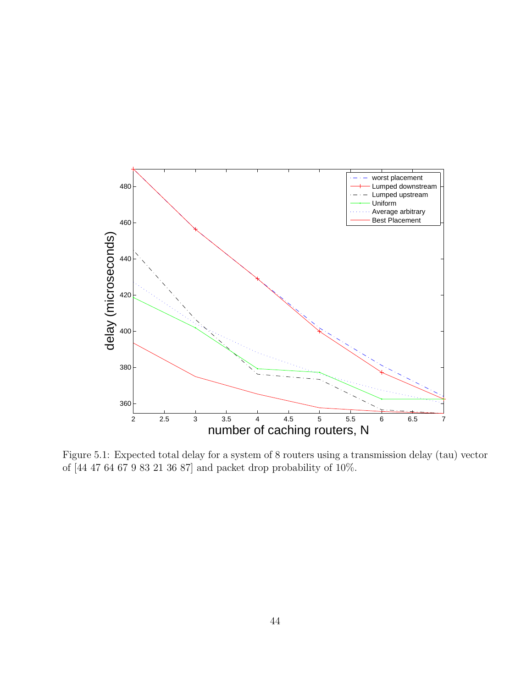

Figure 5.1: Expected total delay for a system of 8 routers using a transmission delay (tau) vector of  $[44\ 47\ 64\ 67\ 9\ 83\ 21\ 36\ 87]$  and packet drop probability of  $10\%.$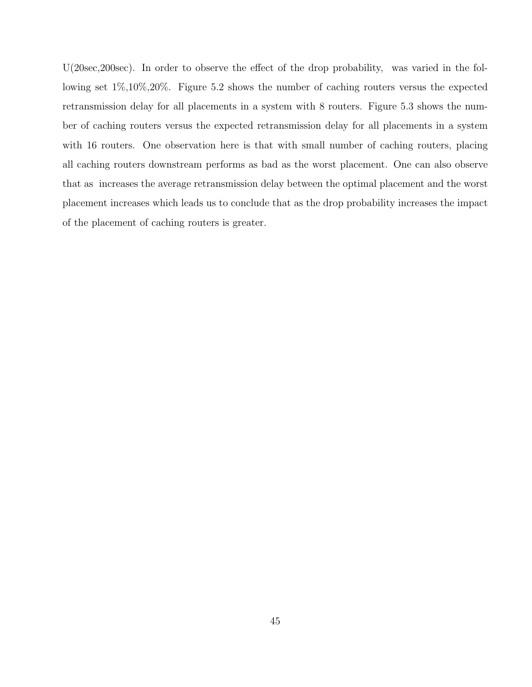U(20sec,200sec). In order to observe the effect of the drop probability, was varied in the following set 1%,10%,20%. Figure 5.2 shows the number of caching routers versus the expected retransmission delay for all placements in a system with 8 routers. Figure 5.3 shows the number of caching routers versus the expected retransmission delay for all placements in a system with 16 routers. One observation here is that with small number of caching routers, placing all caching routers downstream performs as bad as the worst placement. One can also observe that as increases the average retransmission delay between the optimal placement and the worst placement increases which leads us to conclude that as the drop probability increases the impact of the placement of caching routers is greater.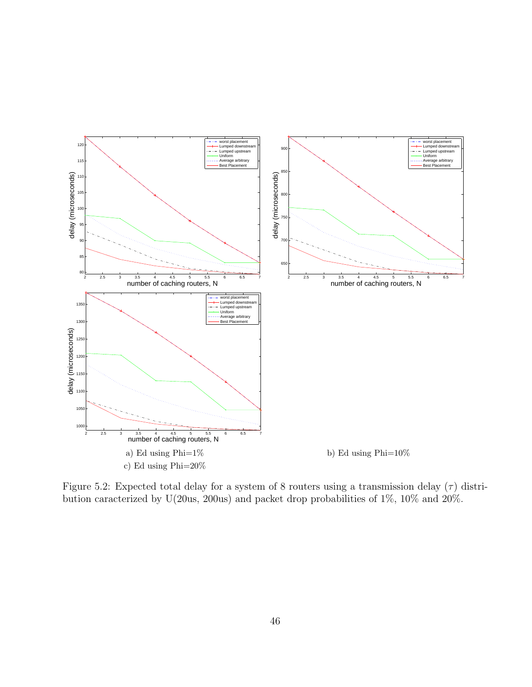

Figure 5.2: Expected total delay for a system of 8 routers using a transmission delay  $(\tau)$  distribution caracterized by U(20us, 200us) and packet drop probabilities of 1%, 10% and 20%.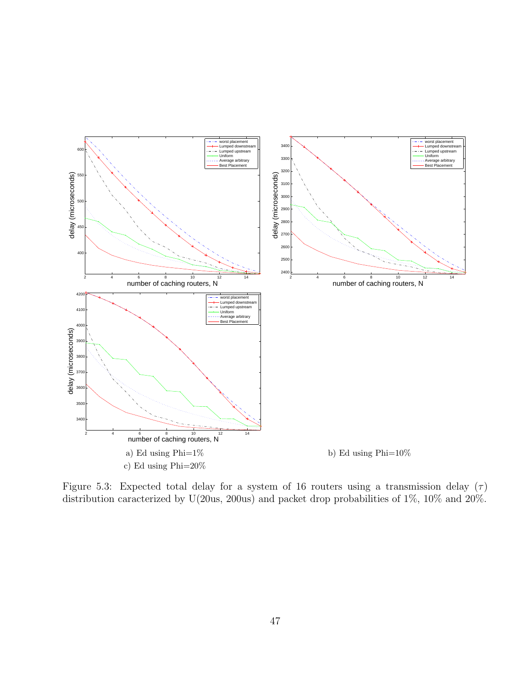

Figure 5.3: Expected total delay for a system of 16 routers using a transmission delay  $(\tau)$ distribution caracterized by U(20us, 200us) and packet drop probabilities of 1%, 10% and 20%.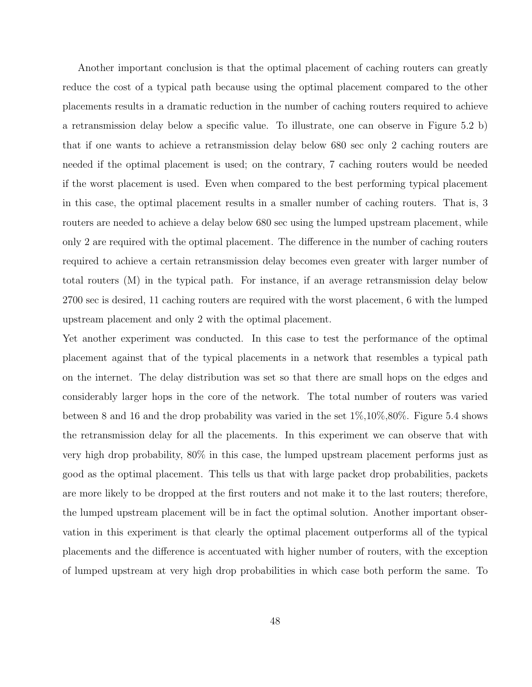Another important conclusion is that the optimal placement of caching routers can greatly reduce the cost of a typical path because using the optimal placement compared to the other placements results in a dramatic reduction in the number of caching routers required to achieve a retransmission delay below a specific value. To illustrate, one can observe in Figure 5.2 b) that if one wants to achieve a retransmission delay below 680 sec only 2 caching routers are needed if the optimal placement is used; on the contrary, 7 caching routers would be needed if the worst placement is used. Even when compared to the best performing typical placement in this case, the optimal placement results in a smaller number of caching routers. That is, 3 routers are needed to achieve a delay below 680 sec using the lumped upstream placement, while only 2 are required with the optimal placement. The difference in the number of caching routers required to achieve a certain retransmission delay becomes even greater with larger number of total routers (M) in the typical path. For instance, if an average retransmission delay below 2700 sec is desired, 11 caching routers are required with the worst placement, 6 with the lumped upstream placement and only 2 with the optimal placement.

Yet another experiment was conducted. In this case to test the performance of the optimal placement against that of the typical placements in a network that resembles a typical path on the internet. The delay distribution was set so that there are small hops on the edges and considerably larger hops in the core of the network. The total number of routers was varied between 8 and 16 and the drop probability was varied in the set 1%,10%,80%. Figure 5.4 shows the retransmission delay for all the placements. In this experiment we can observe that with very high drop probability, 80% in this case, the lumped upstream placement performs just as good as the optimal placement. This tells us that with large packet drop probabilities, packets are more likely to be dropped at the first routers and not make it to the last routers; therefore, the lumped upstream placement will be in fact the optimal solution. Another important observation in this experiment is that clearly the optimal placement outperforms all of the typical placements and the difference is accentuated with higher number of routers, with the exception of lumped upstream at very high drop probabilities in which case both perform the same. To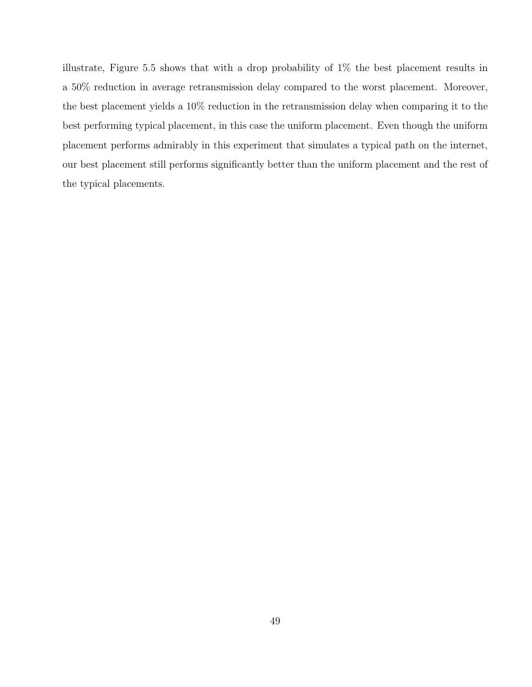illustrate, Figure 5.5 shows that with a drop probability of 1% the best placement results in a 50% reduction in average retransmission delay compared to the worst placement. Moreover, the best placement yields a 10% reduction in the retransmission delay when comparing it to the best performing typical placement, in this case the uniform placement. Even though the uniform placement performs admirably in this experiment that simulates a typical path on the internet, our best placement still performs significantly better than the uniform placement and the rest of the typical placements.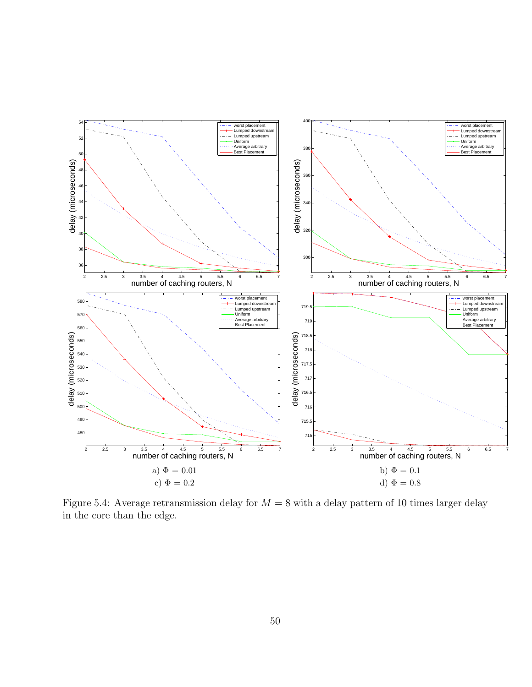

Figure 5.4: Average retransmission delay for  $M = 8$  with a delay pattern of 10 times larger delay in the core than the edge.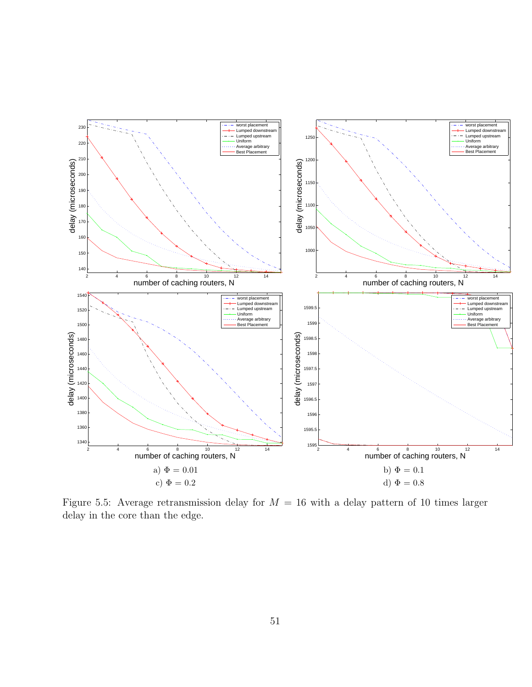

Figure 5.5: Average retransmission delay for  $M = 16$  with a delay pattern of 10 times larger delay in the core than the edge.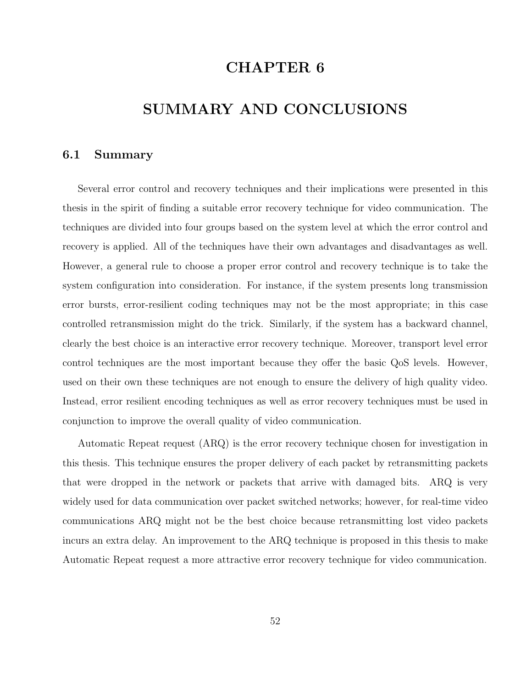# CHAPTER 6

# SUMMARY AND CONCLUSIONS

### 6.1 Summary

Several error control and recovery techniques and their implications were presented in this thesis in the spirit of finding a suitable error recovery technique for video communication. The techniques are divided into four groups based on the system level at which the error control and recovery is applied. All of the techniques have their own advantages and disadvantages as well. However, a general rule to choose a proper error control and recovery technique is to take the system configuration into consideration. For instance, if the system presents long transmission error bursts, error-resilient coding techniques may not be the most appropriate; in this case controlled retransmission might do the trick. Similarly, if the system has a backward channel, clearly the best choice is an interactive error recovery technique. Moreover, transport level error control techniques are the most important because they offer the basic QoS levels. However, used on their own these techniques are not enough to ensure the delivery of high quality video. Instead, error resilient encoding techniques as well as error recovery techniques must be used in conjunction to improve the overall quality of video communication.

Automatic Repeat request (ARQ) is the error recovery technique chosen for investigation in this thesis. This technique ensures the proper delivery of each packet by retransmitting packets that were dropped in the network or packets that arrive with damaged bits. ARQ is very widely used for data communication over packet switched networks; however, for real-time video communications ARQ might not be the best choice because retransmitting lost video packets incurs an extra delay. An improvement to the ARQ technique is proposed in this thesis to make Automatic Repeat request a more attractive error recovery technique for video communication.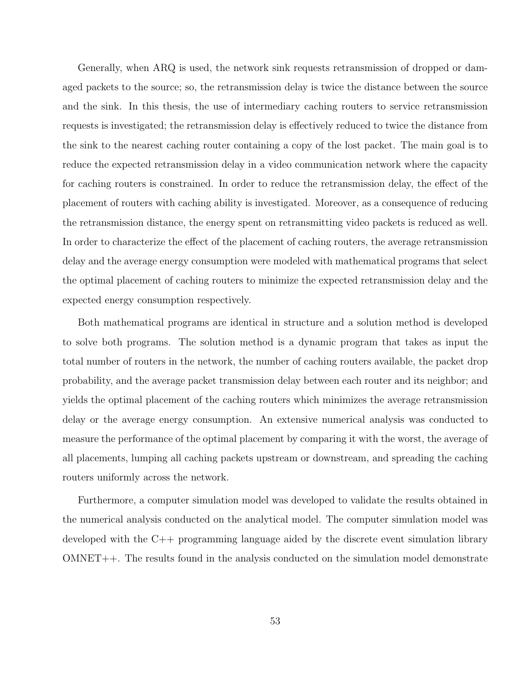Generally, when ARQ is used, the network sink requests retransmission of dropped or damaged packets to the source; so, the retransmission delay is twice the distance between the source and the sink. In this thesis, the use of intermediary caching routers to service retransmission requests is investigated; the retransmission delay is effectively reduced to twice the distance from the sink to the nearest caching router containing a copy of the lost packet. The main goal is to reduce the expected retransmission delay in a video communication network where the capacity for caching routers is constrained. In order to reduce the retransmission delay, the effect of the placement of routers with caching ability is investigated. Moreover, as a consequence of reducing the retransmission distance, the energy spent on retransmitting video packets is reduced as well. In order to characterize the effect of the placement of caching routers, the average retransmission delay and the average energy consumption were modeled with mathematical programs that select the optimal placement of caching routers to minimize the expected retransmission delay and the expected energy consumption respectively.

Both mathematical programs are identical in structure and a solution method is developed to solve both programs. The solution method is a dynamic program that takes as input the total number of routers in the network, the number of caching routers available, the packet drop probability, and the average packet transmission delay between each router and its neighbor; and yields the optimal placement of the caching routers which minimizes the average retransmission delay or the average energy consumption. An extensive numerical analysis was conducted to measure the performance of the optimal placement by comparing it with the worst, the average of all placements, lumping all caching packets upstream or downstream, and spreading the caching routers uniformly across the network.

Furthermore, a computer simulation model was developed to validate the results obtained in the numerical analysis conducted on the analytical model. The computer simulation model was developed with the C++ programming language aided by the discrete event simulation library OMNET++. The results found in the analysis conducted on the simulation model demonstrate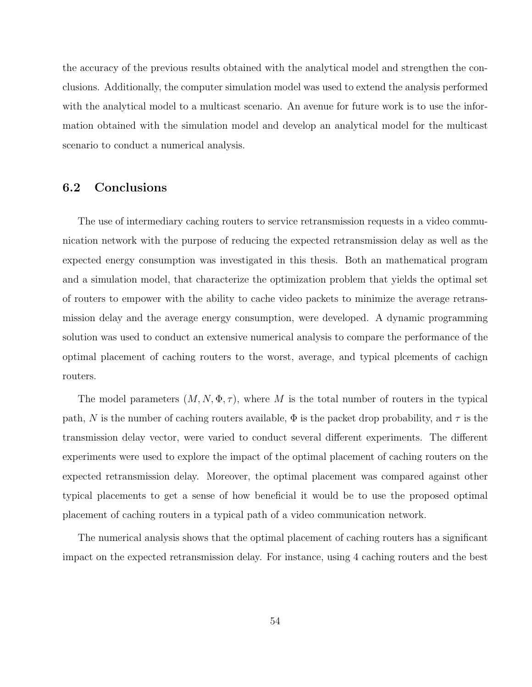the accuracy of the previous results obtained with the analytical model and strengthen the conclusions. Additionally, the computer simulation model was used to extend the analysis performed with the analytical model to a multicast scenario. An avenue for future work is to use the information obtained with the simulation model and develop an analytical model for the multicast scenario to conduct a numerical analysis.

# 6.2 Conclusions

The use of intermediary caching routers to service retransmission requests in a video communication network with the purpose of reducing the expected retransmission delay as well as the expected energy consumption was investigated in this thesis. Both an mathematical program and a simulation model, that characterize the optimization problem that yields the optimal set of routers to empower with the ability to cache video packets to minimize the average retransmission delay and the average energy consumption, were developed. A dynamic programming solution was used to conduct an extensive numerical analysis to compare the performance of the optimal placement of caching routers to the worst, average, and typical plcements of cachign routers.

The model parameters  $(M, N, \Phi, \tau)$ , where M is the total number of routers in the typical path, N is the number of caching routers available,  $\Phi$  is the packet drop probability, and  $\tau$  is the transmission delay vector, were varied to conduct several different experiments. The different experiments were used to explore the impact of the optimal placement of caching routers on the expected retransmission delay. Moreover, the optimal placement was compared against other typical placements to get a sense of how beneficial it would be to use the proposed optimal placement of caching routers in a typical path of a video communication network.

The numerical analysis shows that the optimal placement of caching routers has a significant impact on the expected retransmission delay. For instance, using 4 caching routers and the best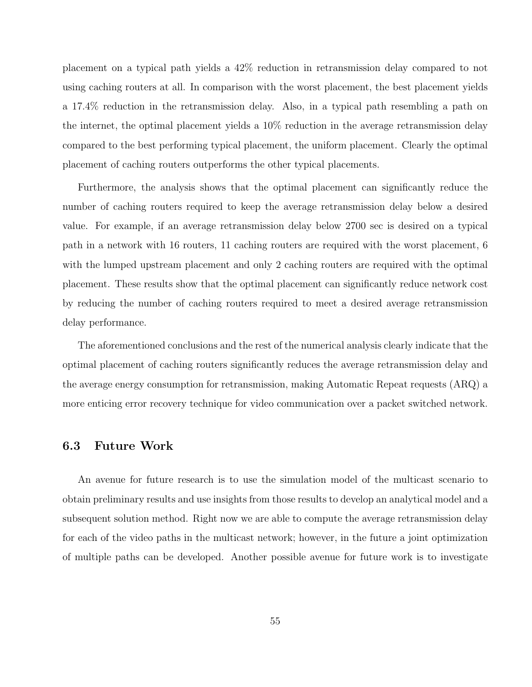placement on a typical path yields a 42% reduction in retransmission delay compared to not using caching routers at all. In comparison with the worst placement, the best placement yields a 17.4% reduction in the retransmission delay. Also, in a typical path resembling a path on the internet, the optimal placement yields a 10% reduction in the average retransmission delay compared to the best performing typical placement, the uniform placement. Clearly the optimal placement of caching routers outperforms the other typical placements.

Furthermore, the analysis shows that the optimal placement can significantly reduce the number of caching routers required to keep the average retransmission delay below a desired value. For example, if an average retransmission delay below 2700 sec is desired on a typical path in a network with 16 routers, 11 caching routers are required with the worst placement, 6 with the lumped upstream placement and only 2 caching routers are required with the optimal placement. These results show that the optimal placement can significantly reduce network cost by reducing the number of caching routers required to meet a desired average retransmission delay performance.

The aforementioned conclusions and the rest of the numerical analysis clearly indicate that the optimal placement of caching routers significantly reduces the average retransmission delay and the average energy consumption for retransmission, making Automatic Repeat requests (ARQ) a more enticing error recovery technique for video communication over a packet switched network.

### 6.3 Future Work

An avenue for future research is to use the simulation model of the multicast scenario to obtain preliminary results and use insights from those results to develop an analytical model and a subsequent solution method. Right now we are able to compute the average retransmission delay for each of the video paths in the multicast network; however, in the future a joint optimization of multiple paths can be developed. Another possible avenue for future work is to investigate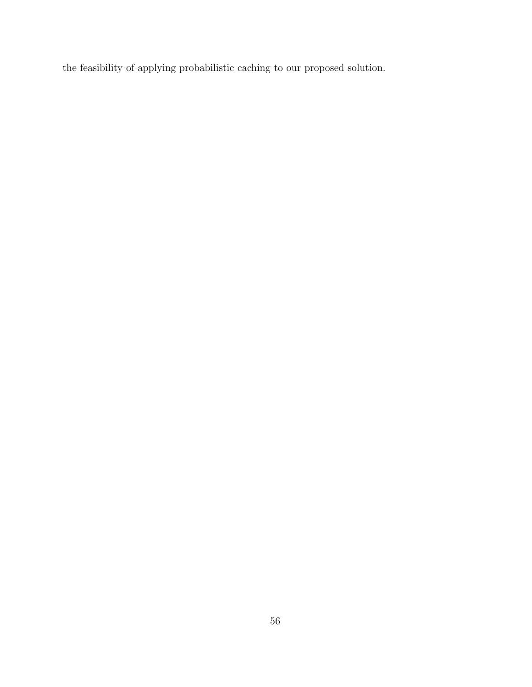the feasibility of applying probabilistic caching to our proposed solution.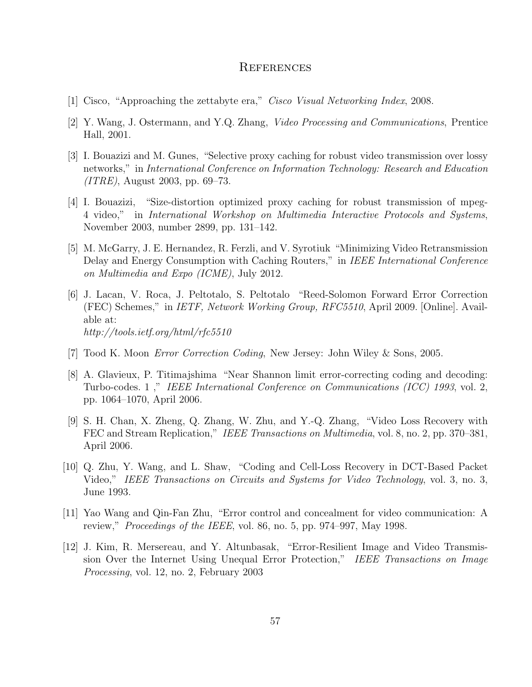### **REFERENCES**

- [1] Cisco, "Approaching the zettabyte era," Cisco Visual Networking Index, 2008.
- [2] Y. Wang, J. Ostermann, and Y.Q. Zhang, Video Processing and Communications, Prentice Hall, 2001.
- [3] I. Bouazizi and M. Gunes, "Selective proxy caching for robust video transmission over lossy networks," in International Conference on Information Technology: Research and Education (ITRE), August 2003, pp. 69–73.
- [4] I. Bouazizi, "Size-distortion optimized proxy caching for robust transmission of mpeg-4 video," in International Workshop on Multimedia Interactive Protocols and Systems, November 2003, number 2899, pp. 131–142.
- [5] M. McGarry, J. E. Hernandez, R. Ferzli, and V. Syrotiuk "Minimizing Video Retransmission Delay and Energy Consumption with Caching Routers," in IEEE International Conference on Multimedia and Expo (ICME), July 2012.
- [6] J. Lacan, V. Roca, J. Peltotalo, S. Peltotalo "Reed-Solomon Forward Error Correction (FEC) Schemes," in IETF, Network Working Group, RFC5510, April 2009. [Online]. Available at: http://tools.ietf.org/html/rfc5510
- [7] Tood K. Moon Error Correction Coding, New Jersey: John Wiley & Sons, 2005.
- [8] A. Glavieux, P. Titimajshima "Near Shannon limit error-correcting coding and decoding: Turbo-codes. 1 ," IEEE International Conference on Communications (ICC) 1993, vol. 2, pp. 1064–1070, April 2006.
- [9] S. H. Chan, X. Zheng, Q. Zhang, W. Zhu, and Y.-Q. Zhang, "Video Loss Recovery with FEC and Stream Replication," IEEE Transactions on Multimedia, vol. 8, no. 2, pp. 370–381, April 2006.
- [10] Q. Zhu, Y. Wang, and L. Shaw, "Coding and Cell-Loss Recovery in DCT-Based Packet Video," IEEE Transactions on Circuits and Systems for Video Technology, vol. 3, no. 3, June 1993.
- [11] Yao Wang and Qin-Fan Zhu, "Error control and concealment for video communication: A review," *Proceedings of the IEEE*, vol. 86, no. 5, pp. 974–997, May 1998.
- [12] J. Kim, R. Mersereau, and Y. Altunbasak, "Error-Resilient Image and Video Transmission Over the Internet Using Unequal Error Protection," IEEE Transactions on Image Processing, vol. 12, no. 2, February 2003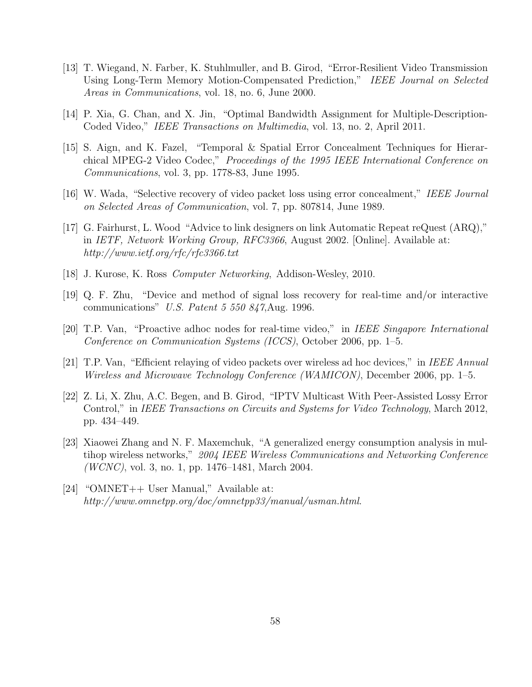- [13] T. Wiegand, N. Farber, K. Stuhlmuller, and B. Girod, "Error-Resilient Video Transmission Using Long-Term Memory Motion-Compensated Prediction," IEEE Journal on Selected Areas in Communications, vol. 18, no. 6, June 2000.
- [14] P. Xia, G. Chan, and X. Jin, "Optimal Bandwidth Assignment for Multiple-Description-Coded Video," IEEE Transactions on Multimedia, vol. 13, no. 2, April 2011.
- [15] S. Aign, and K. Fazel, "Temporal & Spatial Error Concealment Techniques for Hierarchical MPEG-2 Video Codec," Proceedings of the 1995 IEEE International Conference on Communications, vol. 3, pp. 1778-83, June 1995.
- [16] W. Wada, "Selective recovery of video packet loss using error concealment," IEEE Journal on Selected Areas of Communication, vol. 7, pp. 807814, June 1989.
- [17] G. Fairhurst, L. Wood "Advice to link designers on link Automatic Repeat reQuest (ARQ)," in IETF, Network Working Group, RFC3366, August 2002. [Online]. Available at: http://www.ietf.org/rfc/rfc3366.txt
- [18] J. Kurose, K. Ross Computer Networking, Addison-Wesley, 2010.
- [19] Q. F. Zhu, "Device and method of signal loss recovery for real-time and/or interactive communications" U.S. Patent 5 550 847,Aug. 1996.
- [20] T.P. Van, "Proactive adhoc nodes for real-time video," in IEEE Singapore International Conference on Communication Systems (ICCS), October 2006, pp. 1–5.
- [21] T.P. Van, "Efficient relaying of video packets over wireless ad hoc devices," in IEEE Annual Wireless and Microwave Technology Conference (WAMICON), December 2006, pp. 1–5.
- [22] Z. Li, X. Zhu, A.C. Begen, and B. Girod, "IPTV Multicast With Peer-Assisted Lossy Error Control," in IEEE Transactions on Circuits and Systems for Video Technology, March 2012, pp. 434–449.
- [23] Xiaowei Zhang and N. F. Maxemchuk, "A generalized energy consumption analysis in multihop wireless networks," 2004 IEEE Wireless Communications and Networking Conference  $(WCNC)$ , vol. 3, no. 1, pp. 1476–1481, March 2004.
- [24] "OMNET++ User Manual," Available at: http://www.omnetpp.org/doc/omnetpp33/manual/usman.html.